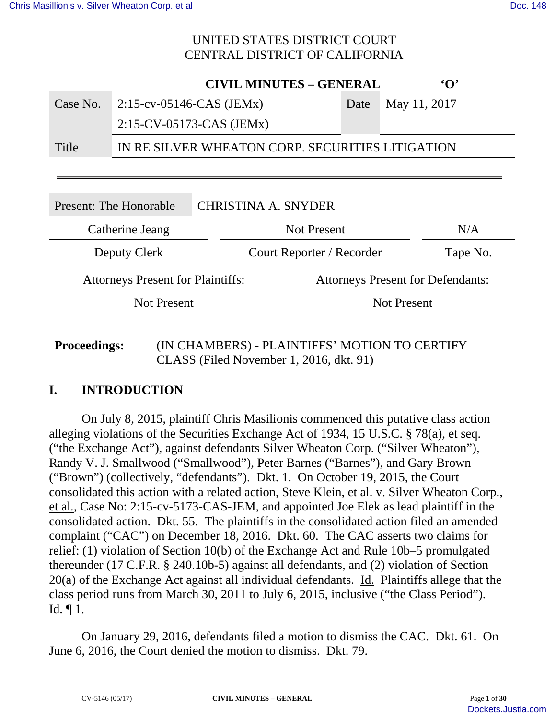**CIVIL MINUTES – GENERAL 'O'**

|          | CIVIL MINUTES – GENERAL                          |                   |
|----------|--------------------------------------------------|-------------------|
| Case No. | $2:15$ -cv-05146-CAS (JEMx)                      | Date May 11, 2017 |
|          | $2:15$ -CV-05173-CAS (JEMx)                      |                   |
| Title    | IN RE SILVER WHEATON CORP. SECURITIES LITIGATION |                   |

| Present: The Honorable                   |  | <b>CHRISTINA A. SNYDER</b>               |          |
|------------------------------------------|--|------------------------------------------|----------|
| Catherine Jeang                          |  | <b>Not Present</b>                       | N/A      |
| Deputy Clerk                             |  | Court Reporter / Recorder                | Tape No. |
| <b>Attorneys Present for Plaintiffs:</b> |  | <b>Attorneys Present for Defendants:</b> |          |
| Not Present                              |  | <b>Not Present</b>                       |          |
|                                          |  |                                          |          |

## **Proceedings:** (IN CHAMBERS) - PLAINTIFFS' MOTION TO CERTIFY CLASS (Filed November 1, 2016, dkt. 91)

# **I. INTRODUCTION**

On July 8, 2015, plaintiff Chris Masilionis commenced this putative class action alleging violations of the Securities Exchange Act of 1934, 15 U.S.C. § 78(a), et seq. ("the Exchange Act"), against defendants Silver Wheaton Corp. ("Silver Wheaton"), Randy V. J. Smallwood ("Smallwood"), Peter Barnes ("Barnes"), and Gary Brown ("Brown") (collectively, "defendants"). Dkt. 1. On October 19, 2015, the Court consolidated this action with a related action, Steve Klein, et al. v. Silver Wheaton Corp., et al., Case No: 2:15-cv-5173-CAS-JEM, and appointed Joe Elek as lead plaintiff in the consolidated action. Dkt. 55. The plaintiffs in the consolidated action filed an amended complaint ("CAC") on December 18, 2016. Dkt. 60. The CAC asserts two claims for relief: (1) violation of Section 10(b) of the Exchange Act and Rule 10b–5 promulgated thereunder (17 C.F.R. § 240.10b-5) against all defendants, and (2) violation of Section 20(a) of the Exchange Act against all individual defendants. Id. Plaintiffs allege that the class period runs from March 30, 2011 to July 6, 2015, inclusive ("the Class Period").  $Id. \P 1.$ 

On January 29, 2016, defendants filed a motion to dismiss the CAC. Dkt. 61. On June 6, 2016, the Court denied the motion to dismiss. Dkt. 79.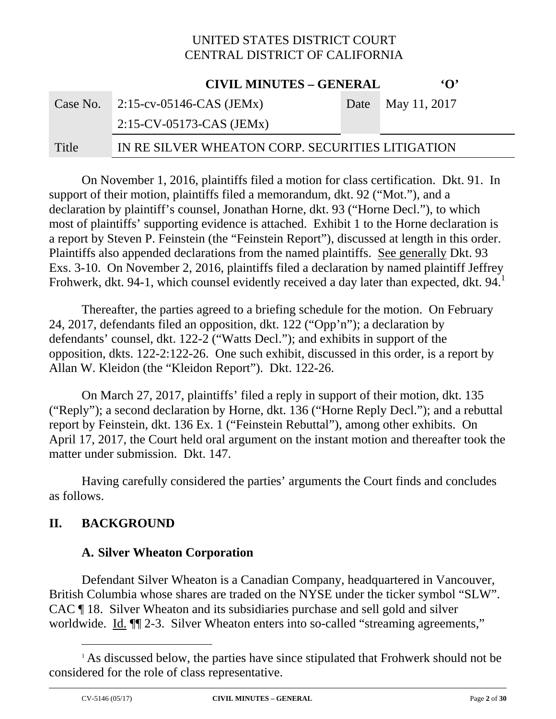**CIVIL MINUTES – GENERAL 'O'**

|       | CIVIL MINUTES – GENERAL                          | $\cdot$ $\cdot$   |
|-------|--------------------------------------------------|-------------------|
|       | Case No. $2:15$ -cv-05146-CAS (JEMx)             | Date May 11, 2017 |
|       | $2:15$ -CV-05173-CAS (JEMx)                      |                   |
| Title | IN RE SILVER WHEATON CORP. SECURITIES LITIGATION |                   |

On November 1, 2016, plaintiffs filed a motion for class certification. Dkt. 91. In support of their motion, plaintiffs filed a memorandum, dkt. 92 ("Mot."), and a declaration by plaintiff's counsel, Jonathan Horne, dkt. 93 ("Horne Decl."), to which most of plaintiffs' supporting evidence is attached. Exhibit 1 to the Horne declaration is a report by Steven P. Feinstein (the "Feinstein Report"), discussed at length in this order. Plaintiffs also appended declarations from the named plaintiffs. See generally Dkt. 93 Exs. 3-10. On November 2, 2016, plaintiffs filed a declaration by named plaintiff Jeffrey Frohwerk, dkt. 94-1, which counsel evidently received a day later than expected, dkt. 94.

Thereafter, the parties agreed to a briefing schedule for the motion. On February 24, 2017, defendants filed an opposition, dkt. 122 ("Opp'n"); a declaration by defendants' counsel, dkt. 122-2 ("Watts Decl."); and exhibits in support of the opposition, dkts. 122-2:122-26. One such exhibit, discussed in this order, is a report by Allan W. Kleidon (the "Kleidon Report"). Dkt. 122-26.

On March 27, 2017, plaintiffs' filed a reply in support of their motion, dkt. 135 ("Reply"); a second declaration by Horne, dkt. 136 ("Horne Reply Decl."); and a rebuttal report by Feinstein, dkt. 136 Ex. 1 ("Feinstein Rebuttal"), among other exhibits. On April 17, 2017, the Court held oral argument on the instant motion and thereafter took the matter under submission. Dkt. 147.

Having carefully considered the parties' arguments the Court finds and concludes as follows.

#### **II. BACKGROUND**

#### **A. Silver Wheaton Corporation**

Defendant Silver Wheaton is a Canadian Company, headquartered in Vancouver, British Columbia whose shares are traded on the NYSE under the ticker symbol "SLW". CAC ¶ 18. Silver Wheaton and its subsidiaries purchase and sell gold and silver worldwide. Id.  $\P$  2-3. Silver Wheaton enters into so-called "streaming agreements,"

<sup>&</sup>lt;sup>1</sup> As discussed below, the parties have since stipulated that Frohwerk should not be considered for the role of class representative.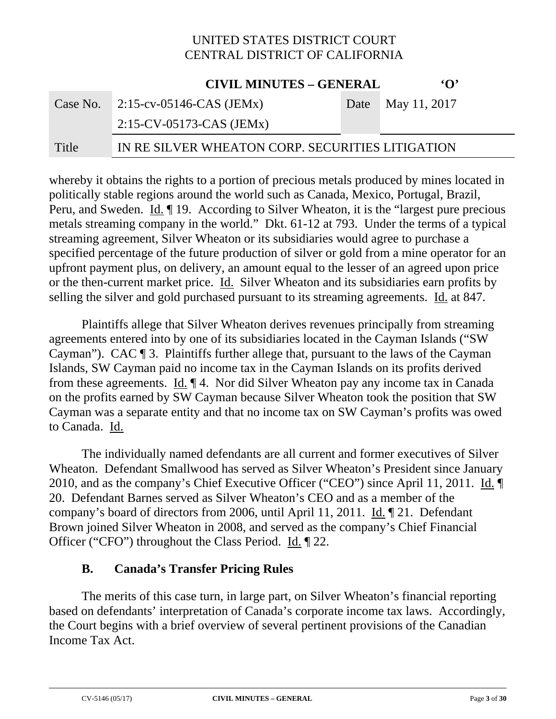|          | <b>CIVIL MINUTES - GENERAL</b>                   |  | $\Omega$          |
|----------|--------------------------------------------------|--|-------------------|
| Case No. | 2:15-cv-05146-CAS (JEMx)                         |  | Date May 11, 2017 |
|          | $2:15$ -CV-05173-CAS (JEMx)                      |  |                   |
| Title    | IN RE SILVER WHEATON CORP. SECURITIES LITIGATION |  |                   |

whereby it obtains the rights to a portion of precious metals produced by mines located in politically stable regions around the world such as Canada, Mexico, Portugal, Brazil, Peru, and Sweden. Id. 19. According to Silver Wheaton, it is the "largest pure precious" metals streaming company in the world." Dkt. 61-12 at 793. Under the terms of a typical streaming agreement, Silver Wheaton or its subsidiaries would agree to purchase a specified percentage of the future production of silver or gold from a mine operator for an upfront payment plus, on delivery, an amount equal to the lesser of an agreed upon price or the then-current market price. Id. Silver Wheaton and its subsidiaries earn profits by selling the silver and gold purchased pursuant to its streaming agreements. Id. at 847.

Plaintiffs allege that Silver Wheaton derives revenues principally from streaming agreements entered into by one of its subsidiaries located in the Cayman Islands ("SW Cayman"). CAC ¶ 3. Plaintiffs further allege that, pursuant to the laws of the Cayman Islands, SW Cayman paid no income tax in the Cayman Islands on its profits derived from these agreements. Id. ¶ 4. Nor did Silver Wheaton pay any income tax in Canada on the profits earned by SW Cayman because Silver Wheaton took the position that SW Cayman was a separate entity and that no income tax on SW Cayman's profits was owed to Canada. Id.

The individually named defendants are all current and former executives of Silver Wheaton. Defendant Smallwood has served as Silver Wheaton's President since January 2010, and as the company's Chief Executive Officer ("CEO") since April 11, 2011. Id. 20. Defendant Barnes served as Silver Wheaton's CEO and as a member of the company's board of directors from 2006, until April 11, 2011. Id. ¶ 21. Defendant Brown joined Silver Wheaton in 2008, and served as the company's Chief Financial Officer ("CFO") throughout the Class Period. Id. 122.

#### **B. Canada's Transfer Pricing Rules**

The merits of this case turn, in large part, on Silver Wheaton's financial reporting based on defendants' interpretation of Canada's corporate income tax laws. Accordingly, the Court begins with a brief overview of several pertinent provisions of the Canadian Income Tax Act.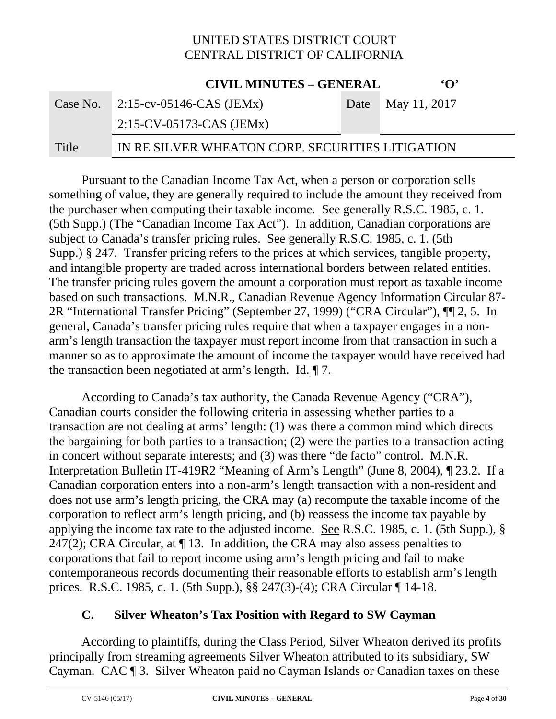|       | <b>CIVIL MINUTES – GENERAL</b>                   | $\mathbf{G}$      |
|-------|--------------------------------------------------|-------------------|
|       | Case No. $\sqrt{2.15-cv-0.05146-CAS}$ (JEMx)     | Date May 11, 2017 |
|       | $2:15$ -CV-05173-CAS (JEMx)                      |                   |
| Title | IN RE SILVER WHEATON CORP. SECURITIES LITIGATION |                   |

Pursuant to the Canadian Income Tax Act, when a person or corporation sells something of value, they are generally required to include the amount they received from the purchaser when computing their taxable income. See generally R.S.C. 1985, c. 1. (5th Supp.) (The "Canadian Income Tax Act"). In addition, Canadian corporations are subject to Canada's transfer pricing rules. See generally R.S.C. 1985, c. 1. (5th Supp.) § 247. Transfer pricing refers to the prices at which services, tangible property, and intangible property are traded across international borders between related entities. The transfer pricing rules govern the amount a corporation must report as taxable income based on such transactions. M.N.R., Canadian Revenue Agency Information Circular 87- 2R "International Transfer Pricing" (September 27, 1999) ("CRA Circular"), ¶¶ 2, 5. In general, Canada's transfer pricing rules require that when a taxpayer engages in a nonarm's length transaction the taxpayer must report income from that transaction in such a manner so as to approximate the amount of income the taxpayer would have received had the transaction been negotiated at arm's length. Id. ¶ 7.

According to Canada's tax authority, the Canada Revenue Agency ("CRA"), Canadian courts consider the following criteria in assessing whether parties to a transaction are not dealing at arms' length: (1) was there a common mind which directs the bargaining for both parties to a transaction; (2) were the parties to a transaction acting in concert without separate interests; and (3) was there "de facto" control. M.N.R. Interpretation Bulletin IT-419R2 "Meaning of Arm's Length" (June 8, 2004), ¶ 23.2. If a Canadian corporation enters into a non-arm's length transaction with a non-resident and does not use arm's length pricing, the CRA may (a) recompute the taxable income of the corporation to reflect arm's length pricing, and (b) reassess the income tax payable by applying the income tax rate to the adjusted income. See R.S.C. 1985, c. 1. (5th Supp.), § 247(2); CRA Circular, at  $\P$  13. In addition, the CRA may also assess penalties to corporations that fail to report income using arm's length pricing and fail to make contemporaneous records documenting their reasonable efforts to establish arm's length prices. R.S.C. 1985, c. 1. (5th Supp.), §§ 247(3)-(4); CRA Circular ¶ 14-18.

#### **C. Silver Wheaton's Tax Position with Regard to SW Cayman**

According to plaintiffs, during the Class Period, Silver Wheaton derived its profits principally from streaming agreements Silver Wheaton attributed to its subsidiary, SW Cayman. CAC ¶ 3. Silver Wheaton paid no Cayman Islands or Canadian taxes on these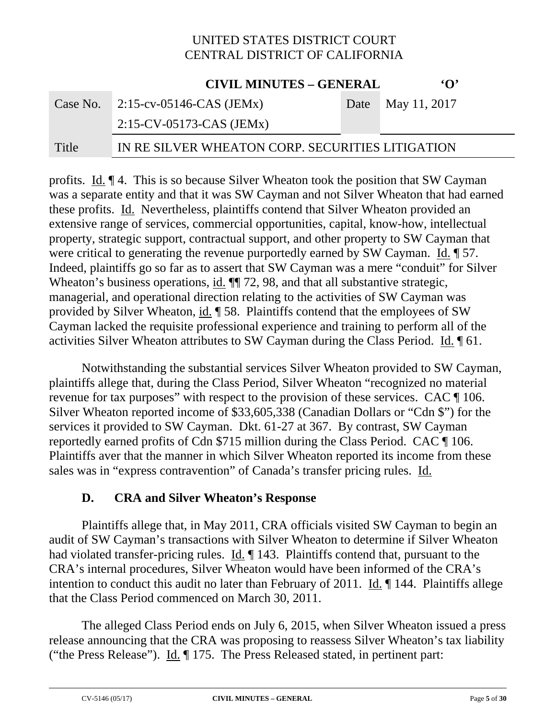|       | <b>CIVIL MINUTES - GENERAL</b>                   | $\Omega$          |
|-------|--------------------------------------------------|-------------------|
|       | Case No. $2:15$ -cv-05146-CAS (JEMx)             | Date May 11, 2017 |
|       | $2:15$ -CV-05173-CAS (JEMx)                      |                   |
| Title | IN RE SILVER WHEATON CORP. SECURITIES LITIGATION |                   |

profits. Id. ¶ 4. This is so because Silver Wheaton took the position that SW Cayman was a separate entity and that it was SW Cayman and not Silver Wheaton that had earned these profits. Id. Nevertheless, plaintiffs contend that Silver Wheaton provided an extensive range of services, commercial opportunities, capital, know-how, intellectual property, strategic support, contractual support, and other property to SW Cayman that were critical to generating the revenue purportedly earned by SW Cayman. Id.  $\llbracket$  57. Indeed, plaintiffs go so far as to assert that SW Cayman was a mere "conduit" for Silver Wheaton's business operations, id.  $\P$  72, 98, and that all substantive strategic, managerial, and operational direction relating to the activities of SW Cayman was provided by Silver Wheaton, id. ¶ 58. Plaintiffs contend that the employees of SW Cayman lacked the requisite professional experience and training to perform all of the activities Silver Wheaton attributes to SW Cayman during the Class Period. Id. ¶ 61.

Notwithstanding the substantial services Silver Wheaton provided to SW Cayman, plaintiffs allege that, during the Class Period, Silver Wheaton "recognized no material revenue for tax purposes" with respect to the provision of these services. CAC ¶ 106. Silver Wheaton reported income of \$33,605,338 (Canadian Dollars or "Cdn \$") for the services it provided to SW Cayman. Dkt. 61-27 at 367. By contrast, SW Cayman reportedly earned profits of Cdn \$715 million during the Class Period. CAC ¶ 106. Plaintiffs aver that the manner in which Silver Wheaton reported its income from these sales was in "express contravention" of Canada's transfer pricing rules. Id.

#### **D. CRA and Silver Wheaton's Response**

Plaintiffs allege that, in May 2011, CRA officials visited SW Cayman to begin an audit of SW Cayman's transactions with Silver Wheaton to determine if Silver Wheaton had violated transfer-pricing rules. Id. ¶ 143. Plaintiffs contend that, pursuant to the CRA's internal procedures, Silver Wheaton would have been informed of the CRA's intention to conduct this audit no later than February of 2011. Id. ¶ 144. Plaintiffs allege that the Class Period commenced on March 30, 2011.

The alleged Class Period ends on July 6, 2015, when Silver Wheaton issued a press release announcing that the CRA was proposing to reassess Silver Wheaton's tax liability ("the Press Release"). Id. ¶ 175. The Press Released stated, in pertinent part: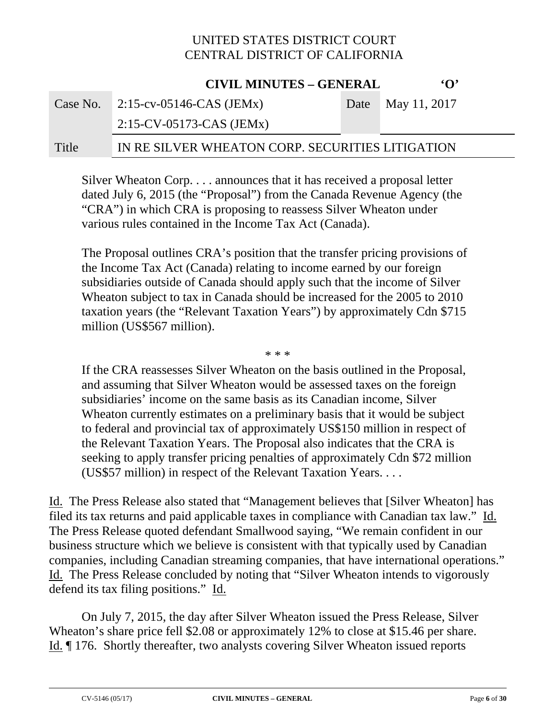|          | <b>CIVIL MINUTES - GENERAL</b>                   |      | $\mathbf{Y}$                |
|----------|--------------------------------------------------|------|-----------------------------|
| Case No. | $2:15$ -cv-05146-CAS (JEMx)                      | Date | $\blacksquare$ May 11, 2017 |
|          | $2:15$ -CV-05173-CAS (JEMx)                      |      |                             |
| Title    | IN RE SILVER WHEATON CORP. SECURITIES LITIGATION |      |                             |

Silver Wheaton Corp. . . . announces that it has received a proposal letter dated July 6, 2015 (the "Proposal") from the Canada Revenue Agency (the "CRA") in which CRA is proposing to reassess Silver Wheaton under various rules contained in the Income Tax Act (Canada).

The Proposal outlines CRA's position that the transfer pricing provisions of the Income Tax Act (Canada) relating to income earned by our foreign subsidiaries outside of Canada should apply such that the income of Silver Wheaton subject to tax in Canada should be increased for the 2005 to 2010 taxation years (the "Relevant Taxation Years") by approximately Cdn \$715 million (US\$567 million).

\* \* \*

If the CRA reassesses Silver Wheaton on the basis outlined in the Proposal, and assuming that Silver Wheaton would be assessed taxes on the foreign subsidiaries' income on the same basis as its Canadian income, Silver Wheaton currently estimates on a preliminary basis that it would be subject to federal and provincial tax of approximately US\$150 million in respect of the Relevant Taxation Years. The Proposal also indicates that the CRA is seeking to apply transfer pricing penalties of approximately Cdn \$72 million (US\$57 million) in respect of the Relevant Taxation Years. . . .

Id. The Press Release also stated that "Management believes that [Silver Wheaton] has filed its tax returns and paid applicable taxes in compliance with Canadian tax law." Id. The Press Release quoted defendant Smallwood saying, "We remain confident in our business structure which we believe is consistent with that typically used by Canadian companies, including Canadian streaming companies, that have international operations." Id. The Press Release concluded by noting that "Silver Wheaton intends to vigorously defend its tax filing positions." Id.

On July 7, 2015, the day after Silver Wheaton issued the Press Release, Silver Wheaton's share price fell \$2.08 or approximately 12% to close at \$15.46 per share. Id. ¶ 176. Shortly thereafter, two analysts covering Silver Wheaton issued reports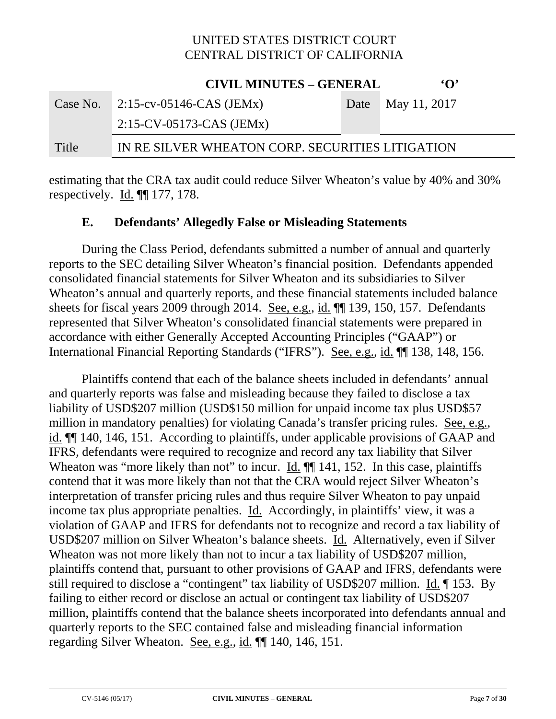|          | <b>CIVIL MINUTES - GENERAL</b>                   |  | $\Omega$          |  |
|----------|--------------------------------------------------|--|-------------------|--|
| Case No. | 2:15-cv-05146-CAS (JEMx)                         |  | Date May 11, 2017 |  |
|          | $2:15$ -CV-05173-CAS (JEMx)                      |  |                   |  |
| Title    | IN RE SILVER WHEATON CORP. SECURITIES LITIGATION |  |                   |  |

estimating that the CRA tax audit could reduce Silver Wheaton's value by 40% and 30% respectively. Id. ¶¶ 177, 178.

#### **E. Defendants' Allegedly False or Misleading Statements**

During the Class Period, defendants submitted a number of annual and quarterly reports to the SEC detailing Silver Wheaton's financial position. Defendants appended consolidated financial statements for Silver Wheaton and its subsidiaries to Silver Wheaton's annual and quarterly reports, and these financial statements included balance sheets for fiscal years 2009 through 2014. See, e.g., id. ¶¶ 139, 150, 157. Defendants represented that Silver Wheaton's consolidated financial statements were prepared in accordance with either Generally Accepted Accounting Principles ("GAAP") or International Financial Reporting Standards ("IFRS"). See, e.g., id. ¶¶ 138, 148, 156.

Plaintiffs contend that each of the balance sheets included in defendants' annual and quarterly reports was false and misleading because they failed to disclose a tax liability of USD\$207 million (USD\$150 million for unpaid income tax plus USD\$57 million in mandatory penalties) for violating Canada's transfer pricing rules. See, e.g., id. ¶¶ 140, 146, 151. According to plaintiffs, under applicable provisions of GAAP and IFRS, defendants were required to recognize and record any tax liability that Silver Wheaton was "more likely than not" to incur. Id.  $\P$  141, 152. In this case, plaintiffs contend that it was more likely than not that the CRA would reject Silver Wheaton's interpretation of transfer pricing rules and thus require Silver Wheaton to pay unpaid income tax plus appropriate penalties. Id. Accordingly, in plaintiffs' view, it was a violation of GAAP and IFRS for defendants not to recognize and record a tax liability of USD\$207 million on Silver Wheaton's balance sheets. Id. Alternatively, even if Silver Wheaton was not more likely than not to incur a tax liability of USD\$207 million, plaintiffs contend that, pursuant to other provisions of GAAP and IFRS, defendants were still required to disclose a "contingent" tax liability of USD\$207 million. Id. ¶ 153. By failing to either record or disclose an actual or contingent tax liability of USD\$207 million, plaintiffs contend that the balance sheets incorporated into defendants annual and quarterly reports to the SEC contained false and misleading financial information regarding Silver Wheaton. See, e.g., id. ¶¶ 140, 146, 151.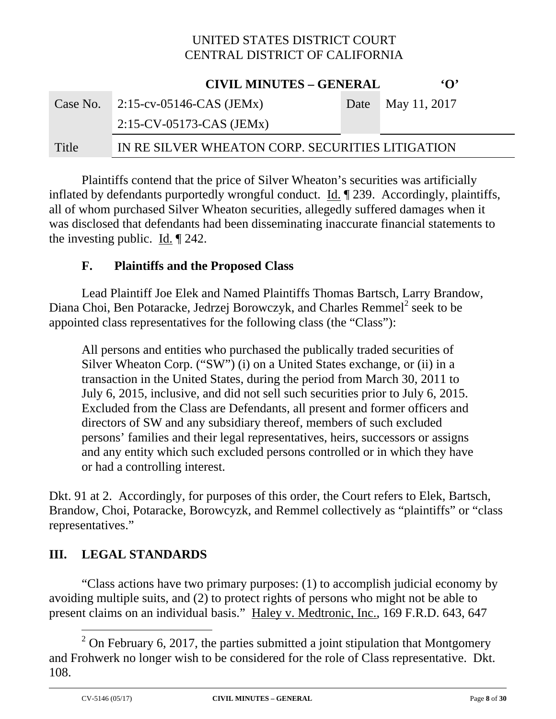|       | <b>CIVIL MINUTES - GENERAL</b>                   | $\Omega$          |
|-------|--------------------------------------------------|-------------------|
|       | Case No. $2:15$ -cv-05146-CAS (JEMx)             | Date May 11, 2017 |
|       | $2:15$ -CV-05173-CAS (JEMx)                      |                   |
| Title | IN RE SILVER WHEATON CORP. SECURITIES LITIGATION |                   |

Plaintiffs contend that the price of Silver Wheaton's securities was artificially inflated by defendants purportedly wrongful conduct. Id. ¶ 239. Accordingly, plaintiffs, all of whom purchased Silver Wheaton securities, allegedly suffered damages when it was disclosed that defendants had been disseminating inaccurate financial statements to the investing public. Id.  $\parallel$  242.

#### **F. Plaintiffs and the Proposed Class**

Lead Plaintiff Joe Elek and Named Plaintiffs Thomas Bartsch, Larry Brandow, Diana Choi, Ben Potaracke, Jedrzej Borowczyk, and Charles Remmel<sup>2</sup> seek to be appointed class representatives for the following class (the "Class"):

All persons and entities who purchased the publically traded securities of Silver Wheaton Corp. ("SW") (i) on a United States exchange, or (ii) in a transaction in the United States, during the period from March 30, 2011 to July 6, 2015, inclusive, and did not sell such securities prior to July 6, 2015. Excluded from the Class are Defendants, all present and former officers and directors of SW and any subsidiary thereof, members of such excluded persons' families and their legal representatives, heirs, successors or assigns and any entity which such excluded persons controlled or in which they have or had a controlling interest.

Dkt. 91 at 2. Accordingly, for purposes of this order, the Court refers to Elek, Bartsch, Brandow, Choi, Potaracke, Borowcyzk, and Remmel collectively as "plaintiffs" or "class representatives."

# **III. LEGAL STANDARDS**

"Class actions have two primary purposes: (1) to accomplish judicial economy by avoiding multiple suits, and (2) to protect rights of persons who might not be able to present claims on an individual basis." Haley v. Medtronic, Inc., 169 F.R.D. 643, 647

 $\overline{a}$ <sup>2</sup> On February 6, 2017, the parties submitted a joint stipulation that Montgomery and Frohwerk no longer wish to be considered for the role of Class representative. Dkt. 108.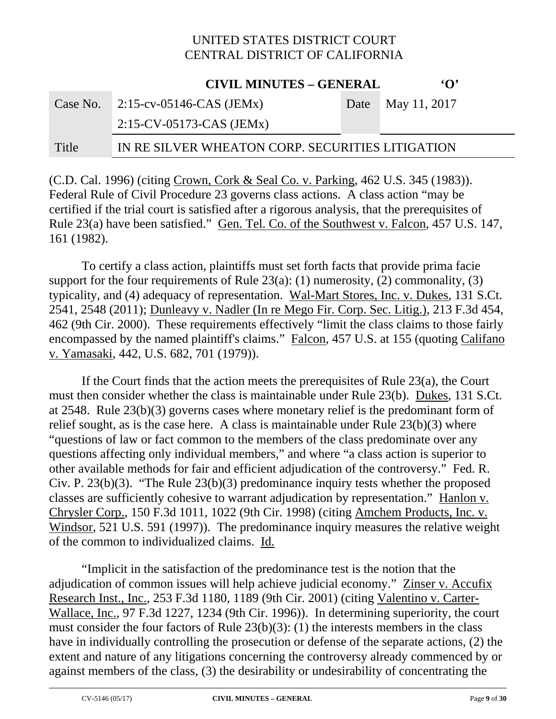#### **CIVIL MINUTES – GENERAL 'O'** Case No. 2:15-cv-05146-CAS (JEMx) 2:15-CV-05173-CAS (JEMx) Date May 11, 2017 Title IN RE SILVER WHEATON CORP. SECURITIES LITIGATION

(C.D. Cal. 1996) (citing Crown, Cork & Seal Co. v. Parking, 462 U.S. 345 (1983)). Federal Rule of Civil Procedure 23 governs class actions. A class action "may be certified if the trial court is satisfied after a rigorous analysis, that the prerequisites of Rule 23(a) have been satisfied." Gen. Tel. Co. of the Southwest v. Falcon, 457 U.S. 147, 161 (1982).

To certify a class action, plaintiffs must set forth facts that provide prima facie support for the four requirements of Rule  $23(a)$ : (1) numerosity, (2) commonality, (3) typicality, and (4) adequacy of representation. Wal-Mart Stores, Inc. v. Dukes, 131 S.Ct. 2541, 2548 (2011); Dunleavy v. Nadler (In re Mego Fir. Corp. Sec. Litig.), 213 F.3d 454, 462 (9th Cir. 2000). These requirements effectively "limit the class claims to those fairly encompassed by the named plaintiff's claims." Falcon, 457 U.S. at 155 (quoting Califano v. Yamasaki, 442, U.S. 682, 701 (1979)).

If the Court finds that the action meets the prerequisites of Rule 23(a), the Court must then consider whether the class is maintainable under Rule 23(b). Dukes, 131 S.Ct. at 2548. Rule 23(b)(3) governs cases where monetary relief is the predominant form of relief sought, as is the case here. A class is maintainable under Rule 23(b)(3) where "questions of law or fact common to the members of the class predominate over any questions affecting only individual members," and where "a class action is superior to other available methods for fair and efficient adjudication of the controversy." Fed. R. Civ. P. 23(b)(3). "The Rule 23(b)(3) predominance inquiry tests whether the proposed classes are sufficiently cohesive to warrant adjudication by representation." Hanlon v. Chrysler Corp., 150 F.3d 1011, 1022 (9th Cir. 1998) (citing Amchem Products, Inc. v. Windsor, 521 U.S. 591 (1997)). The predominance inquiry measures the relative weight of the common to individualized claims. Id.

"Implicit in the satisfaction of the predominance test is the notion that the adjudication of common issues will help achieve judicial economy." Zinser v. Accufix Research Inst., Inc., 253 F.3d 1180, 1189 (9th Cir. 2001) (citing Valentino v. Carter-Wallace, Inc., 97 F.3d 1227, 1234 (9th Cir. 1996)). In determining superiority, the court must consider the four factors of Rule 23(b)(3): (1) the interests members in the class have in individually controlling the prosecution or defense of the separate actions, (2) the extent and nature of any litigations concerning the controversy already commenced by or against members of the class, (3) the desirability or undesirability of concentrating the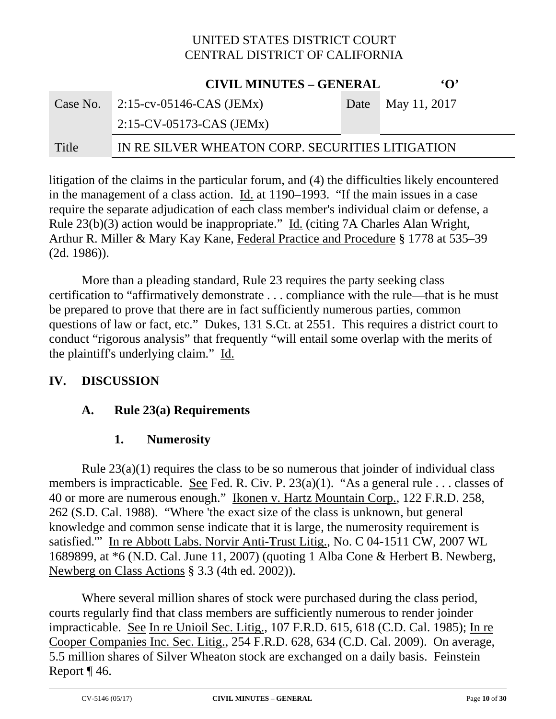|          | <b>CIVIL MINUTES - GENERAL</b>                   | $\Omega$          |
|----------|--------------------------------------------------|-------------------|
| Case No. | 2:15-cv-05146-CAS (JEMx)                         | Date May 11, 2017 |
|          | $2:15$ -CV-05173-CAS (JEMx)                      |                   |
| Title    | IN RE SILVER WHEATON CORP. SECURITIES LITIGATION |                   |

litigation of the claims in the particular forum, and (4) the difficulties likely encountered in the management of a class action. Id. at 1190–1993. "If the main issues in a case require the separate adjudication of each class member's individual claim or defense, a Rule 23(b)(3) action would be inappropriate." Id. (citing 7A Charles Alan Wright, Arthur R. Miller & Mary Kay Kane, Federal Practice and Procedure § 1778 at 535–39 (2d. 1986)).

More than a pleading standard, Rule 23 requires the party seeking class certification to "affirmatively demonstrate . . . compliance with the rule—that is he must be prepared to prove that there are in fact sufficiently numerous parties, common questions of law or fact, etc." Dukes, 131 S.Ct. at 2551. This requires a district court to conduct "rigorous analysis" that frequently "will entail some overlap with the merits of the plaintiff's underlying claim." Id.

#### **IV. DISCUSSION**

# **A. Rule 23(a) Requirements**

# **1. Numerosity**

Rule  $23(a)(1)$  requires the class to be so numerous that joinder of individual class members is impracticable. <u>See</u> Fed. R. Civ. P. 23(a)(1). "As a general rule . . . classes of 40 or more are numerous enough." Ikonen v. Hartz Mountain Corp., 122 F.R.D. 258, 262 (S.D. Cal. 1988). "Where 'the exact size of the class is unknown, but general knowledge and common sense indicate that it is large, the numerosity requirement is satisfied.'" In re Abbott Labs. Norvir Anti-Trust Litig., No. C 04-1511 CW, 2007 WL 1689899, at \*6 (N.D. Cal. June 11, 2007) (quoting 1 Alba Cone & Herbert B. Newberg, Newberg on Class Actions § 3.3 (4th ed. 2002)).

Where several million shares of stock were purchased during the class period, courts regularly find that class members are sufficiently numerous to render joinder impracticable. See In re Unioil Sec. Litig., 107 F.R.D. 615, 618 (C.D. Cal. 1985); In re Cooper Companies Inc. Sec. Litig., 254 F.R.D. 628, 634 (C.D. Cal. 2009). On average, 5.5 million shares of Silver Wheaton stock are exchanged on a daily basis. Feinstein Report ¶ 46.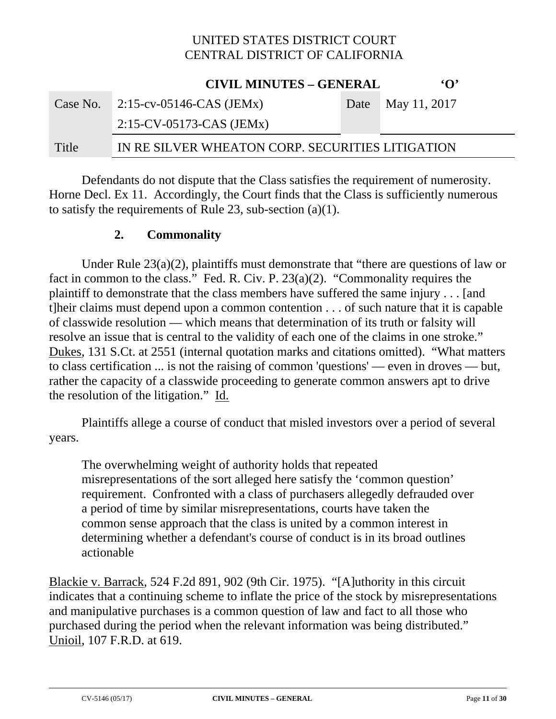|          | <b>CIVIL MINUTES – GENERAL</b>                   | $\Omega$          |
|----------|--------------------------------------------------|-------------------|
| Case No. | $2:15$ -cv-05146-CAS (JEMx)                      | Date May 11, 2017 |
|          | $2:15$ -CV-05173-CAS (JEMx)                      |                   |
| Title    | IN RE SILVER WHEATON CORP. SECURITIES LITIGATION |                   |

Defendants do not dispute that the Class satisfies the requirement of numerosity. Horne Decl. Ex 11. Accordingly, the Court finds that the Class is sufficiently numerous to satisfy the requirements of Rule 23, sub-section (a)(1).

#### **2. Commonality**

Under Rule 23(a)(2), plaintiffs must demonstrate that "there are questions of law or fact in common to the class." Fed. R. Civ. P. 23(a)(2). "Commonality requires the plaintiff to demonstrate that the class members have suffered the same injury . . . [and t]heir claims must depend upon a common contention . . . of such nature that it is capable of classwide resolution — which means that determination of its truth or falsity will resolve an issue that is central to the validity of each one of the claims in one stroke." Dukes, 131 S.Ct. at 2551 (internal quotation marks and citations omitted). "What matters to class certification ... is not the raising of common 'questions' — even in droves — but, rather the capacity of a classwide proceeding to generate common answers apt to drive the resolution of the litigation." Id.

Plaintiffs allege a course of conduct that misled investors over a period of several years.

The overwhelming weight of authority holds that repeated misrepresentations of the sort alleged here satisfy the 'common question' requirement. Confronted with a class of purchasers allegedly defrauded over a period of time by similar misrepresentations, courts have taken the common sense approach that the class is united by a common interest in determining whether a defendant's course of conduct is in its broad outlines actionable

Blackie v. Barrack, 524 F.2d 891, 902 (9th Cir. 1975). "[A]uthority in this circuit indicates that a continuing scheme to inflate the price of the stock by misrepresentations and manipulative purchases is a common question of law and fact to all those who purchased during the period when the relevant information was being distributed." Unioil, 107 F.R.D. at 619.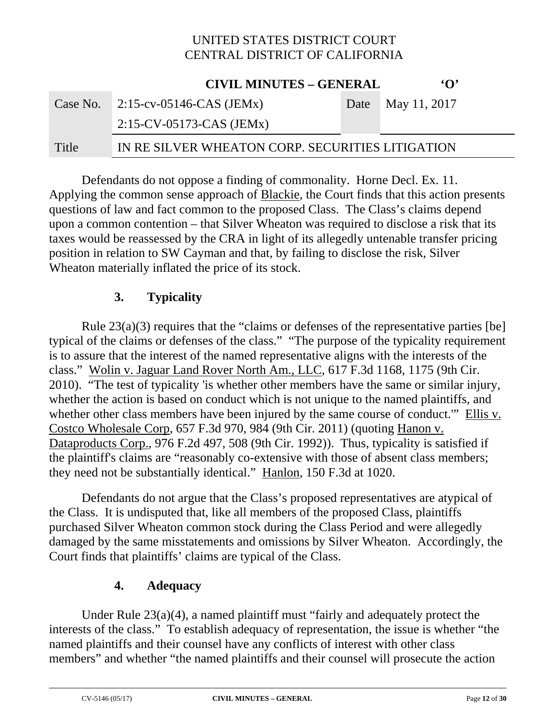|       | <b>CIVIL MINUTES - GENERAL</b>                   | $\Omega$          |
|-------|--------------------------------------------------|-------------------|
|       | Case No. $2:15$ -cv-05146-CAS (JEMx)             | Date May 11, 2017 |
|       | $2:15$ -CV-05173-CAS (JEMx)                      |                   |
| Title | IN RE SILVER WHEATON CORP. SECURITIES LITIGATION |                   |

 Defendants do not oppose a finding of commonality. Horne Decl. Ex. 11. Applying the common sense approach of Blackie, the Court finds that this action presents questions of law and fact common to the proposed Class. The Class's claims depend upon a common contention – that Silver Wheaton was required to disclose a risk that its taxes would be reassessed by the CRA in light of its allegedly untenable transfer pricing position in relation to SW Cayman and that, by failing to disclose the risk, Silver Wheaton materially inflated the price of its stock.

#### **3. Typicality**

Rule 23(a)(3) requires that the "claims or defenses of the representative parties [be] typical of the claims or defenses of the class." "The purpose of the typicality requirement is to assure that the interest of the named representative aligns with the interests of the class." Wolin v. Jaguar Land Rover North Am., LLC, 617 F.3d 1168, 1175 (9th Cir. 2010). "The test of typicality 'is whether other members have the same or similar injury, whether the action is based on conduct which is not unique to the named plaintiffs, and whether other class members have been injured by the same course of conduct." Ellis v. Costco Wholesale Corp, 657 F.3d 970, 984 (9th Cir. 2011) (quoting Hanon v. Dataproducts Corp., 976 F.2d 497, 508 (9th Cir. 1992)). Thus, typicality is satisfied if the plaintiff's claims are "reasonably co-extensive with those of absent class members; they need not be substantially identical." Hanlon, 150 F.3d at 1020.

Defendants do not argue that the Class's proposed representatives are atypical of the Class. It is undisputed that, like all members of the proposed Class, plaintiffs purchased Silver Wheaton common stock during the Class Period and were allegedly damaged by the same misstatements and omissions by Silver Wheaton. Accordingly, the Court finds that plaintiffs' claims are typical of the Class.

#### **4. Adequacy**

Under Rule 23(a)(4), a named plaintiff must "fairly and adequately protect the interests of the class." To establish adequacy of representation, the issue is whether "the named plaintiffs and their counsel have any conflicts of interest with other class members" and whether "the named plaintiffs and their counsel will prosecute the action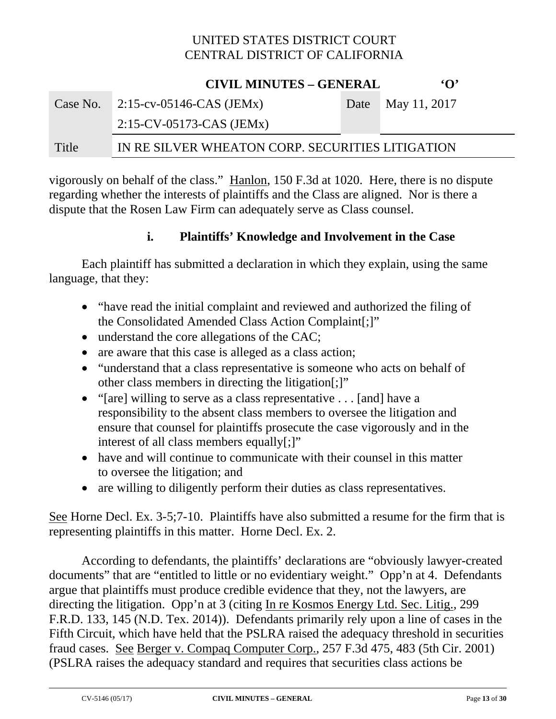**CIVIL MINUTES – GENERAL 'O'**

|          | CIVIL MINUTES – GENERAL                          | $\cdot$ $\cdot$   |
|----------|--------------------------------------------------|-------------------|
| Case No. | $2:15$ -cv-05146-CAS (JEMx)                      | Date May 11, 2017 |
|          | $2:15$ -CV-05173-CAS (JEMx)                      |                   |
| Title    | IN RE SILVER WHEATON CORP. SECURITIES LITIGATION |                   |

vigorously on behalf of the class." Hanlon, 150 F.3d at 1020. Here, there is no dispute regarding whether the interests of plaintiffs and the Class are aligned. Nor is there a dispute that the Rosen Law Firm can adequately serve as Class counsel.

#### **i. Plaintiffs' Knowledge and Involvement in the Case**

Each plaintiff has submitted a declaration in which they explain, using the same language, that they:

- "have read the initial complaint and reviewed and authorized the filing of the Consolidated Amended Class Action Complaint[;]"
- understand the core allegations of the CAC;
- are aware that this case is alleged as a class action;
- "understand that a class representative is someone who acts on behalf of other class members in directing the litigation[;]"
- "[are] willing to serve as a class representative . . . [and] have a responsibility to the absent class members to oversee the litigation and ensure that counsel for plaintiffs prosecute the case vigorously and in the interest of all class members equally[;]"
- have and will continue to communicate with their counsel in this matter to oversee the litigation; and
- are willing to diligently perform their duties as class representatives.

See Horne Decl. Ex. 3-5;7-10. Plaintiffs have also submitted a resume for the firm that is representing plaintiffs in this matter. Horne Decl. Ex. 2.

According to defendants, the plaintiffs' declarations are "obviously lawyer-created documents" that are "entitled to little or no evidentiary weight." Opp'n at 4. Defendants argue that plaintiffs must produce credible evidence that they, not the lawyers, are directing the litigation. Opp'n at 3 (citing In re Kosmos Energy Ltd. Sec. Litig., 299 F.R.D. 133, 145 (N.D. Tex. 2014)). Defendants primarily rely upon a line of cases in the Fifth Circuit, which have held that the PSLRA raised the adequacy threshold in securities fraud cases. See Berger v. Compaq Computer Corp., 257 F.3d 475, 483 (5th Cir. 2001) (PSLRA raises the adequacy standard and requires that securities class actions be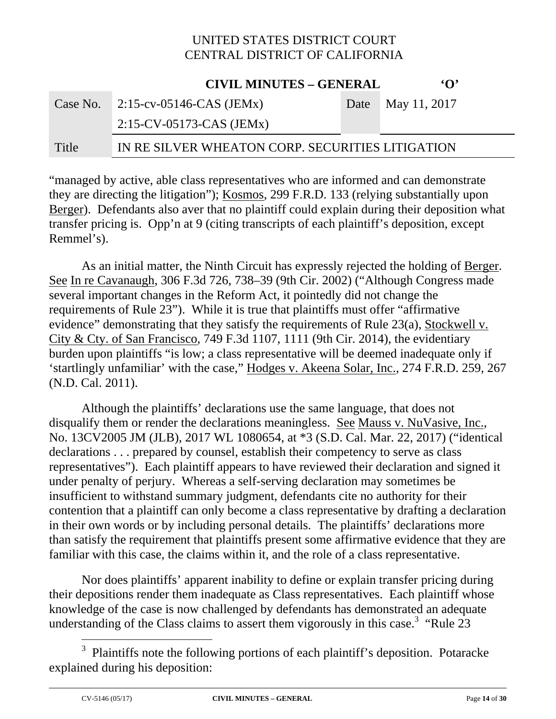**CIVIL MINUTES – GENERAL 'O'**

|       | CIVIL MINUTES – GENERAL                          | $\cdot$ $\cdot$   |
|-------|--------------------------------------------------|-------------------|
|       | Case No. $2:15$ -cv-05146-CAS (JEMx)             | Date May 11, 2017 |
|       | $2:15$ -CV-05173-CAS (JEMx)                      |                   |
| Title | IN RE SILVER WHEATON CORP. SECURITIES LITIGATION |                   |

"managed by active, able class representatives who are informed and can demonstrate they are directing the litigation"); Kosmos, 299 F.R.D. 133 (relying substantially upon Berger). Defendants also aver that no plaintiff could explain during their deposition what transfer pricing is. Opp'n at 9 (citing transcripts of each plaintiff's deposition, except Remmel's).

As an initial matter, the Ninth Circuit has expressly rejected the holding of Berger. See In re Cavanaugh, 306 F.3d 726, 738–39 (9th Cir. 2002) ("Although Congress made several important changes in the Reform Act, it pointedly did not change the requirements of Rule 23"). While it is true that plaintiffs must offer "affirmative evidence" demonstrating that they satisfy the requirements of Rule 23(a), Stockwell v. City & Cty. of San Francisco, 749 F.3d 1107, 1111 (9th Cir. 2014), the evidentiary burden upon plaintiffs "is low; a class representative will be deemed inadequate only if 'startlingly unfamiliar' with the case," Hodges v. Akeena Solar, Inc., 274 F.R.D. 259, 267 (N.D. Cal. 2011).

Although the plaintiffs' declarations use the same language, that does not disqualify them or render the declarations meaningless. See Mauss v. NuVasive, Inc., No. 13CV2005 JM (JLB), 2017 WL 1080654, at \*3 (S.D. Cal. Mar. 22, 2017) ("identical declarations . . . prepared by counsel, establish their competency to serve as class representatives"). Each plaintiff appears to have reviewed their declaration and signed it under penalty of perjury. Whereas a self-serving declaration may sometimes be insufficient to withstand summary judgment, defendants cite no authority for their contention that a plaintiff can only become a class representative by drafting a declaration in their own words or by including personal details. The plaintiffs' declarations more than satisfy the requirement that plaintiffs present some affirmative evidence that they are familiar with this case, the claims within it, and the role of a class representative.

Nor does plaintiffs' apparent inability to define or explain transfer pricing during their depositions render them inadequate as Class representatives. Each plaintiff whose knowledge of the case is now challenged by defendants has demonstrated an adequate understanding of the Class claims to assert them vigorously in this case.<sup>3</sup> "Rule  $23$ 

<sup>3</sup> Plaintiffs note the following portions of each plaintiff's deposition. Potaracke explained during his deposition: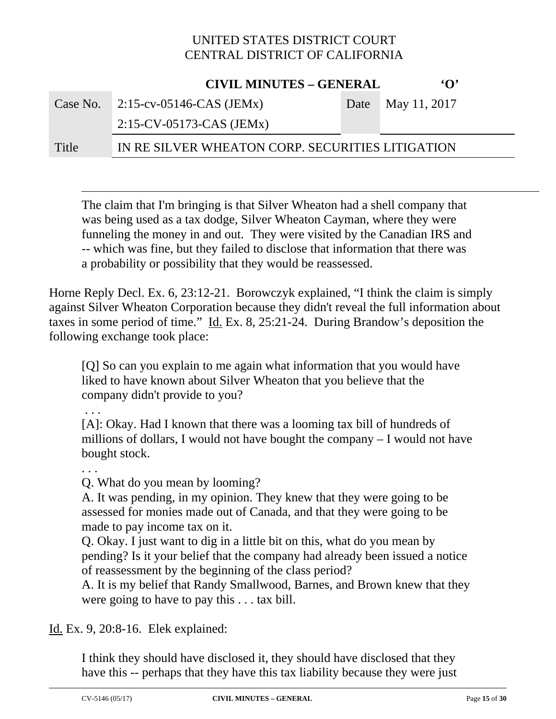|          | <b>CIVIL MINUTES - GENERAL</b>                   | $\mathbf{G}$      |
|----------|--------------------------------------------------|-------------------|
| Case No. | 2:15-cv-05146-CAS (JEMx)                         | Date May 11, 2017 |
|          | $2:15$ -CV-05173-CAS (JEMx)                      |                   |
| Title    | IN RE SILVER WHEATON CORP. SECURITIES LITIGATION |                   |

 $\overline{a}$ The claim that I'm bringing is that Silver Wheaton had a shell company that was being used as a tax dodge, Silver Wheaton Cayman, where they were funneling the money in and out. They were visited by the Canadian IRS and -- which was fine, but they failed to disclose that information that there was a probability or possibility that they would be reassessed.

Horne Reply Decl. Ex. 6, 23:12-21. Borowczyk explained, "I think the claim is simply against Silver Wheaton Corporation because they didn't reveal the full information about taxes in some period of time." Id. Ex. 8, 25:21-24. During Brandow's deposition the following exchange took place:

[Q] So can you explain to me again what information that you would have liked to have known about Silver Wheaton that you believe that the company didn't provide to you?

. . .

[A]: Okay. Had I known that there was a looming tax bill of hundreds of millions of dollars, I would not have bought the company – I would not have bought stock.

. . .

Q. What do you mean by looming?

A. It was pending, in my opinion. They knew that they were going to be assessed for monies made out of Canada, and that they were going to be made to pay income tax on it.

Q. Okay. I just want to dig in a little bit on this, what do you mean by pending? Is it your belief that the company had already been issued a notice of reassessment by the beginning of the class period?

A. It is my belief that Randy Smallwood, Barnes, and Brown knew that they were going to have to pay this . . . tax bill.

Id. Ex. 9, 20:8-16. Elek explained:

I think they should have disclosed it, they should have disclosed that they have this -- perhaps that they have this tax liability because they were just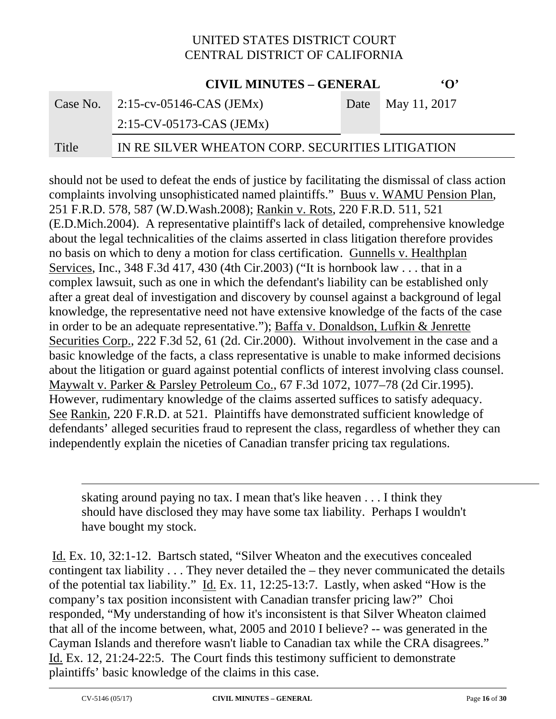**CIVIL MINUTES – GENERAL 'O'**

|          | CIVIL MINUTES – GENERAL                          | .                 |
|----------|--------------------------------------------------|-------------------|
| Case No. | $2:15$ -cv-05146-CAS (JEMx)                      | Date May 11, 2017 |
|          | $2:15$ -CV-05173-CAS (JEMx)                      |                   |
| Title    | IN RE SILVER WHEATON CORP. SECURITIES LITIGATION |                   |

should not be used to defeat the ends of justice by facilitating the dismissal of class action complaints involving unsophisticated named plaintiffs." Buus v. WAMU Pension Plan, 251 F.R.D. 578, 587 (W.D.Wash.2008); Rankin v. Rots, 220 F.R.D. 511, 521 (E.D.Mich.2004). A representative plaintiff's lack of detailed, comprehensive knowledge about the legal technicalities of the claims asserted in class litigation therefore provides no basis on which to deny a motion for class certification. Gunnells v. Healthplan Services, Inc., 348 F.3d 417, 430 (4th Cir.2003) ("It is hornbook law . . . that in a complex lawsuit, such as one in which the defendant's liability can be established only after a great deal of investigation and discovery by counsel against a background of legal knowledge, the representative need not have extensive knowledge of the facts of the case in order to be an adequate representative."); Baffa v. Donaldson, Lufkin & Jenrette Securities Corp., 222 F.3d 52, 61 (2d. Cir.2000). Without involvement in the case and a basic knowledge of the facts, a class representative is unable to make informed decisions about the litigation or guard against potential conflicts of interest involving class counsel. Maywalt v. Parker & Parsley Petroleum Co., 67 F.3d 1072, 1077–78 (2d Cir.1995). However, rudimentary knowledge of the claims asserted suffices to satisfy adequacy. See Rankin, 220 F.R.D. at 521. Plaintiffs have demonstrated sufficient knowledge of defendants' alleged securities fraud to represent the class, regardless of whether they can independently explain the niceties of Canadian transfer pricing tax regulations.

skating around paying no tax. I mean that's like heaven . . . I think they should have disclosed they may have some tax liability. Perhaps I wouldn't have bought my stock.

 Id. Ex. 10, 32:1-12. Bartsch stated, "Silver Wheaton and the executives concealed contingent tax liability . . . They never detailed the – they never communicated the details of the potential tax liability." Id. Ex. 11, 12:25-13:7. Lastly, when asked "How is the company's tax position inconsistent with Canadian transfer pricing law?" Choi responded, "My understanding of how it's inconsistent is that Silver Wheaton claimed that all of the income between, what, 2005 and 2010 I believe? -- was generated in the Cayman Islands and therefore wasn't liable to Canadian tax while the CRA disagrees." Id. Ex. 12, 21:24-22:5. The Court finds this testimony sufficient to demonstrate plaintiffs' basic knowledge of the claims in this case.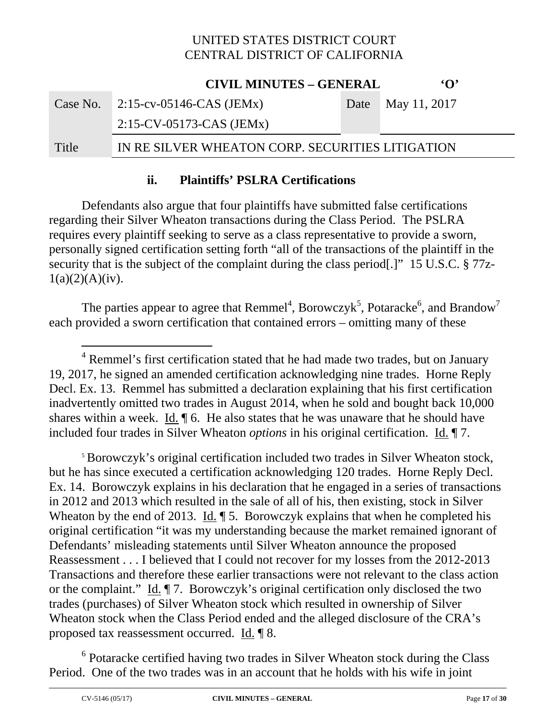|       | <b>CIVIL MINUTES - GENERAL</b>                   | $\Omega$          |
|-------|--------------------------------------------------|-------------------|
|       | Case No. $\sqrt{2.15-cv-0.5146-CAS}$ (JEMx)      | Date May 11, 2017 |
|       | $2:15$ -CV-05173-CAS (JEMx)                      |                   |
| Title | IN RE SILVER WHEATON CORP. SECURITIES LITIGATION |                   |

#### **ii. Plaintiffs' PSLRA Certifications**

Defendants also argue that four plaintiffs have submitted false certifications regarding their Silver Wheaton transactions during the Class Period. The PSLRA requires every plaintiff seeking to serve as a class representative to provide a sworn, personally signed certification setting forth "all of the transactions of the plaintiff in the security that is the subject of the complaint during the class period[.]" 15 U.S.C. § 77z- $1(a)(2)(A)(iv)$ .

The parties appear to agree that Remmel<sup>4</sup>, Borowczyk<sup>5</sup>, Potaracke<sup>6</sup>, and Brandow<sup>7</sup> each provided a sworn certification that contained errors – omitting many of these

<sup>5</sup> Borowczyk's original certification included two trades in Silver Wheaton stock, but he has since executed a certification acknowledging 120 trades. Horne Reply Decl. Ex. 14. Borowczyk explains in his declaration that he engaged in a series of transactions in 2012 and 2013 which resulted in the sale of all of his, then existing, stock in Silver Wheaton by the end of 2013. Id.  $\sqrt{ }$  5. Borowczyk explains that when he completed his original certification "it was my understanding because the market remained ignorant of Defendants' misleading statements until Silver Wheaton announce the proposed Reassessment . . . I believed that I could not recover for my losses from the 2012-2013 Transactions and therefore these earlier transactions were not relevant to the class action or the complaint." Id. ¶ 7. Borowczyk's original certification only disclosed the two trades (purchases) of Silver Wheaton stock which resulted in ownership of Silver Wheaton stock when the Class Period ended and the alleged disclosure of the CRA's proposed tax reassessment occurred. Id. ¶ 8.

<sup>6</sup> Potaracke certified having two trades in Silver Wheaton stock during the Class Period. One of the two trades was in an account that he holds with his wife in joint

<sup>&</sup>lt;sup>4</sup> Remmel's first certification stated that he had made two trades, but on January 19, 2017, he signed an amended certification acknowledging nine trades. Horne Reply Decl. Ex. 13. Remmel has submitted a declaration explaining that his first certification inadvertently omitted two trades in August 2014, when he sold and bought back 10,000 shares within a week. Id.  $\oint$  6. He also states that he was unaware that he should have included four trades in Silver Wheaton *options* in his original certification. Id. ¶ 7.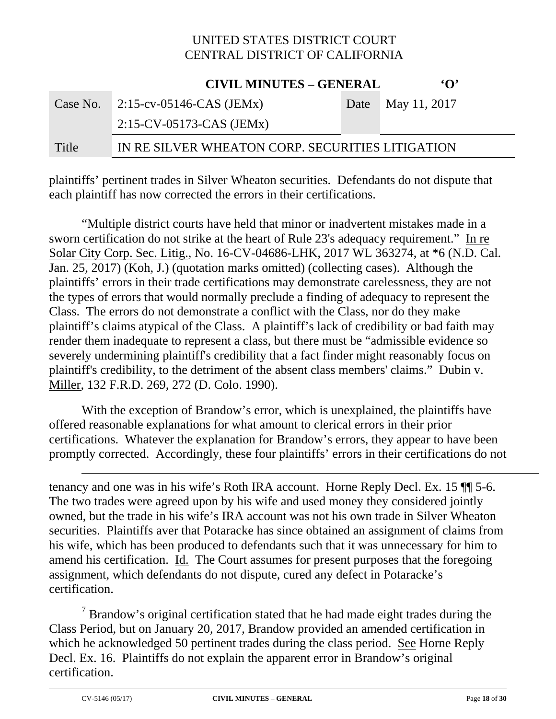**CIVIL MINUTES – GENERAL 'O'**

|       | CIVIL MINUTES – GENERAL                          | $\cdot$ $\cdot$   |
|-------|--------------------------------------------------|-------------------|
|       | Case No. $2:15$ -cv-05146-CAS (JEMx)             | Date May 11, 2017 |
|       | $2:15$ -CV-05173-CAS (JEMx)                      |                   |
| Title | IN RE SILVER WHEATON CORP. SECURITIES LITIGATION |                   |

plaintiffs' pertinent trades in Silver Wheaton securities. Defendants do not dispute that each plaintiff has now corrected the errors in their certifications.

"Multiple district courts have held that minor or inadvertent mistakes made in a sworn certification do not strike at the heart of Rule 23's adequacy requirement." In re Solar City Corp. Sec. Litig., No. 16-CV-04686-LHK, 2017 WL 363274, at \*6 (N.D. Cal. Jan. 25, 2017) (Koh, J.) (quotation marks omitted) (collecting cases). Although the plaintiffs' errors in their trade certifications may demonstrate carelessness, they are not the types of errors that would normally preclude a finding of adequacy to represent the Class. The errors do not demonstrate a conflict with the Class, nor do they make plaintiff's claims atypical of the Class. A plaintiff's lack of credibility or bad faith may render them inadequate to represent a class, but there must be "admissible evidence so severely undermining plaintiff's credibility that a fact finder might reasonably focus on plaintiff's credibility, to the detriment of the absent class members' claims." Dubin v. Miller, 132 F.R.D. 269, 272 (D. Colo. 1990).

With the exception of Brandow's error, which is unexplained, the plaintiffs have offered reasonable explanations for what amount to clerical errors in their prior certifications. Whatever the explanation for Brandow's errors, they appear to have been promptly corrected. Accordingly, these four plaintiffs' errors in their certifications do not

tenancy and one was in his wife's Roth IRA account. Horne Reply Decl. Ex. 15 ¶¶ 5-6. The two trades were agreed upon by his wife and used money they considered jointly owned, but the trade in his wife's IRA account was not his own trade in Silver Wheaton securities. Plaintiffs aver that Potaracke has since obtained an assignment of claims from his wife, which has been produced to defendants such that it was unnecessary for him to amend his certification. Id. The Court assumes for present purposes that the foregoing assignment, which defendants do not dispute, cured any defect in Potaracke's certification.

 $7$  Brandow's original certification stated that he had made eight trades during the Class Period, but on January 20, 2017, Brandow provided an amended certification in which he acknowledged 50 pertinent trades during the class period. See Horne Reply Decl. Ex. 16. Plaintiffs do not explain the apparent error in Brandow's original certification.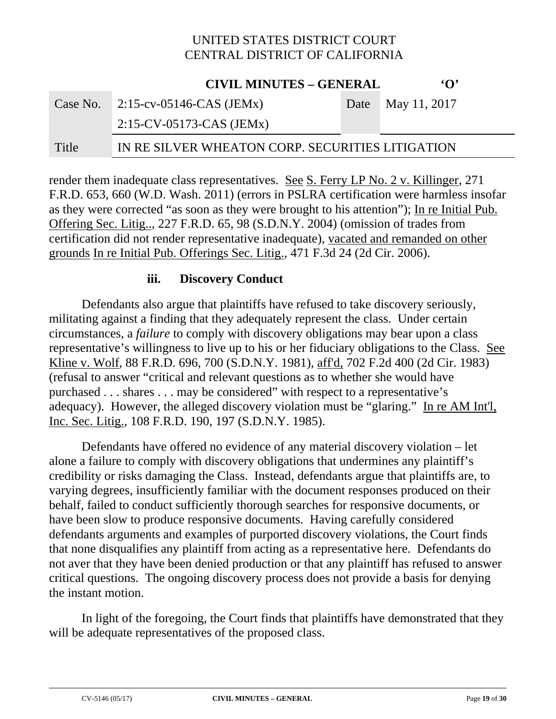|       | <b>CIVIL MINUTES - GENERAL</b>                   | $\Omega$          |
|-------|--------------------------------------------------|-------------------|
|       | Case No. $2:15$ -cv-05146-CAS (JEMx)             | Date May 11, 2017 |
|       | $2:15$ -CV-05173-CAS (JEMx)                      |                   |
| Title | IN RE SILVER WHEATON CORP. SECURITIES LITIGATION |                   |

render them inadequate class representatives. See S. Ferry LP No. 2 v. Killinger, 271 F.R.D. 653, 660 (W.D. Wash. 2011) (errors in PSLRA certification were harmless insofar as they were corrected "as soon as they were brought to his attention"); In re Initial Pub. Offering Sec. Litig.., 227 F.R.D. 65, 98 (S.D.N.Y. 2004) (omission of trades from certification did not render representative inadequate), vacated and remanded on other grounds In re Initial Pub. Offerings Sec. Litig., 471 F.3d 24 (2d Cir. 2006).

#### **iii. Discovery Conduct**

Defendants also argue that plaintiffs have refused to take discovery seriously, militating against a finding that they adequately represent the class. Under certain circumstances, a *failure* to comply with discovery obligations may bear upon a class representative's willingness to live up to his or her fiduciary obligations to the Class. See Kline v. Wolf, 88 F.R.D. 696, 700 (S.D.N.Y. 1981), aff'd, 702 F.2d 400 (2d Cir. 1983) (refusal to answer "critical and relevant questions as to whether she would have purchased . . . shares . . . may be considered" with respect to a representative's adequacy). However, the alleged discovery violation must be "glaring." In re AM Int'l, Inc. Sec. Litig., 108 F.R.D. 190, 197 (S.D.N.Y. 1985).

Defendants have offered no evidence of any material discovery violation – let alone a failure to comply with discovery obligations that undermines any plaintiff's credibility or risks damaging the Class. Instead, defendants argue that plaintiffs are, to varying degrees, insufficiently familiar with the document responses produced on their behalf, failed to conduct sufficiently thorough searches for responsive documents, or have been slow to produce responsive documents. Having carefully considered defendants arguments and examples of purported discovery violations, the Court finds that none disqualifies any plaintiff from acting as a representative here. Defendants do not aver that they have been denied production or that any plaintiff has refused to answer critical questions. The ongoing discovery process does not provide a basis for denying the instant motion.

In light of the foregoing, the Court finds that plaintiffs have demonstrated that they will be adequate representatives of the proposed class.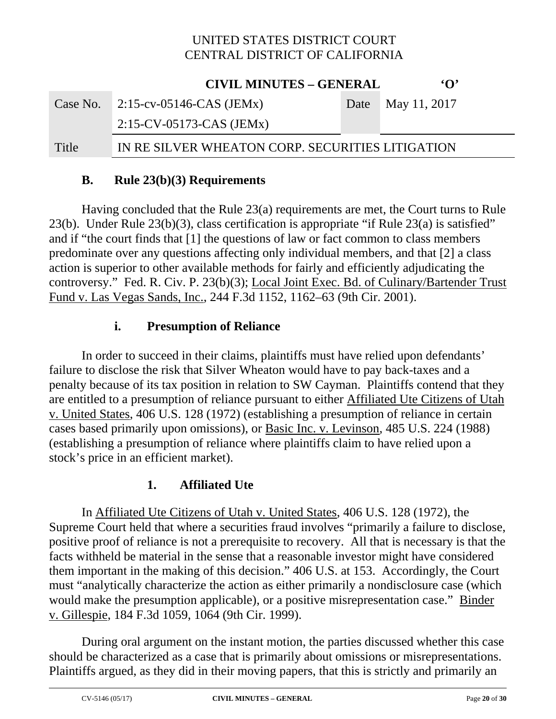|       | <b>CIVIL MINUTES – GENERAL</b>                   | $\Omega$          |
|-------|--------------------------------------------------|-------------------|
|       | Case No. $2:15$ -cv-05146-CAS (JEMx)             | Date May 11, 2017 |
|       | $2:15$ -CV-05173-CAS (JEMx)                      |                   |
| Title | IN RE SILVER WHEATON CORP. SECURITIES LITIGATION |                   |

#### **B. Rule 23(b)(3) Requirements**

Having concluded that the Rule 23(a) requirements are met, the Court turns to Rule 23(b). Under Rule 23(b)(3), class certification is appropriate "if Rule 23(a) is satisfied" and if "the court finds that [1] the questions of law or fact common to class members predominate over any questions affecting only individual members, and that [2] a class action is superior to other available methods for fairly and efficiently adjudicating the controversy." Fed. R. Civ. P. 23(b)(3); Local Joint Exec. Bd. of Culinary/Bartender Trust Fund v. Las Vegas Sands, Inc., 244 F.3d 1152, 1162–63 (9th Cir. 2001).

# **i. Presumption of Reliance**

In order to succeed in their claims, plaintiffs must have relied upon defendants' failure to disclose the risk that Silver Wheaton would have to pay back-taxes and a penalty because of its tax position in relation to SW Cayman. Plaintiffs contend that they are entitled to a presumption of reliance pursuant to either Affiliated Ute Citizens of Utah v. United States, 406 U.S. 128 (1972) (establishing a presumption of reliance in certain cases based primarily upon omissions), or Basic Inc. v. Levinson, 485 U.S. 224 (1988) (establishing a presumption of reliance where plaintiffs claim to have relied upon a stock's price in an efficient market).

#### **1. Affiliated Ute**

In Affiliated Ute Citizens of Utah v. United States, 406 U.S. 128 (1972), the Supreme Court held that where a securities fraud involves "primarily a failure to disclose, positive proof of reliance is not a prerequisite to recovery. All that is necessary is that the facts withheld be material in the sense that a reasonable investor might have considered them important in the making of this decision." 406 U.S. at 153. Accordingly, the Court must "analytically characterize the action as either primarily a nondisclosure case (which would make the presumption applicable), or a positive misrepresentation case." Binder v. Gillespie, 184 F.3d 1059, 1064 (9th Cir. 1999).

 During oral argument on the instant motion, the parties discussed whether this case should be characterized as a case that is primarily about omissions or misrepresentations. Plaintiffs argued, as they did in their moving papers, that this is strictly and primarily an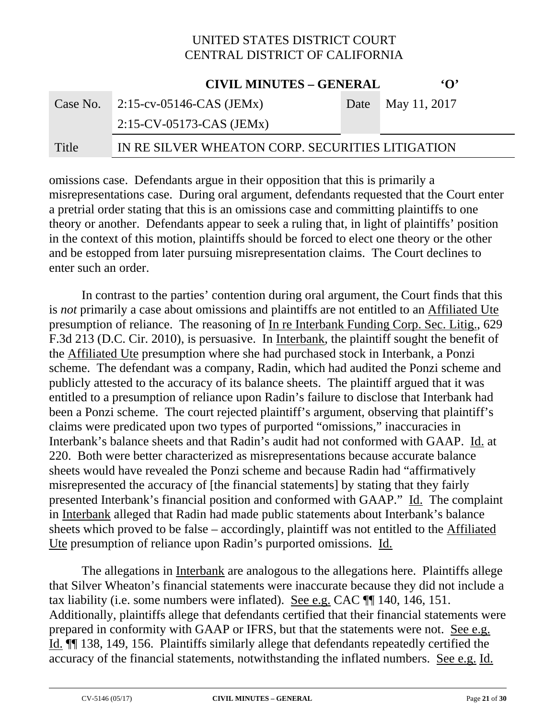**CIVIL MINUTES – GENERAL 'O'**

|       | CIVIL MINUTES – GENERAL                          | $\cdot$ $\cdot$   |
|-------|--------------------------------------------------|-------------------|
|       | Case No. $2:15$ -cv-05146-CAS (JEMx)             | Date May 11, 2017 |
|       | $2:15$ -CV-05173-CAS (JEMx)                      |                   |
| Title | IN RE SILVER WHEATON CORP. SECURITIES LITIGATION |                   |

omissions case. Defendants argue in their opposition that this is primarily a misrepresentations case. During oral argument, defendants requested that the Court enter a pretrial order stating that this is an omissions case and committing plaintiffs to one theory or another. Defendants appear to seek a ruling that, in light of plaintiffs' position in the context of this motion, plaintiffs should be forced to elect one theory or the other and be estopped from later pursuing misrepresentation claims. The Court declines to enter such an order.

In contrast to the parties' contention during oral argument, the Court finds that this is *not* primarily a case about omissions and plaintiffs are not entitled to an Affiliated Ute presumption of reliance. The reasoning of In re Interbank Funding Corp. Sec. Litig., 629 F.3d 213 (D.C. Cir. 2010), is persuasive. In Interbank, the plaintiff sought the benefit of the Affiliated Ute presumption where she had purchased stock in Interbank, a Ponzi scheme. The defendant was a company, Radin, which had audited the Ponzi scheme and publicly attested to the accuracy of its balance sheets. The plaintiff argued that it was entitled to a presumption of reliance upon Radin's failure to disclose that Interbank had been a Ponzi scheme. The court rejected plaintiff's argument, observing that plaintiff's claims were predicated upon two types of purported "omissions," inaccuracies in Interbank's balance sheets and that Radin's audit had not conformed with GAAP. Id. at 220. Both were better characterized as misrepresentations because accurate balance sheets would have revealed the Ponzi scheme and because Radin had "affirmatively misrepresented the accuracy of [the financial statements] by stating that they fairly presented Interbank's financial position and conformed with GAAP." Id. The complaint in Interbank alleged that Radin had made public statements about Interbank's balance sheets which proved to be false – accordingly, plaintiff was not entitled to the Affiliated Ute presumption of reliance upon Radin's purported omissions. Id.

The allegations in Interbank are analogous to the allegations here. Plaintiffs allege that Silver Wheaton's financial statements were inaccurate because they did not include a tax liability (i.e. some numbers were inflated). See e.g. CAC ¶¶ 140, 146, 151. Additionally, plaintiffs allege that defendants certified that their financial statements were prepared in conformity with GAAP or IFRS, but that the statements were not. See e.g. Id. ¶¶ 138, 149, 156. Plaintiffs similarly allege that defendants repeatedly certified the accuracy of the financial statements, notwithstanding the inflated numbers. See e.g. Id.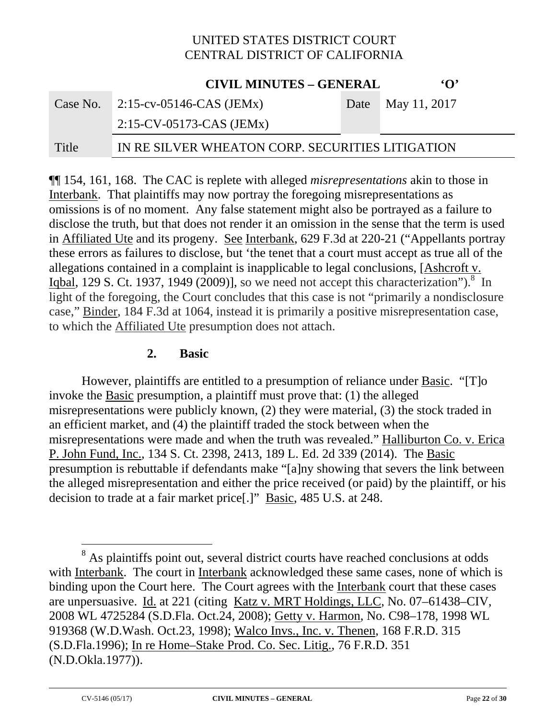|          | <b>CIVIL MINUTES - GENERAL</b>                   | $\Omega$          |
|----------|--------------------------------------------------|-------------------|
| Case No. | 2:15-cv-05146-CAS (JEMx)                         | Date May 11, 2017 |
|          | $2:15$ -CV-05173-CAS (JEMx)                      |                   |
| Title    | IN RE SILVER WHEATON CORP. SECURITIES LITIGATION |                   |

¶¶ 154, 161, 168. The CAC is replete with alleged *misrepresentations* akin to those in Interbank. That plaintiffs may now portray the foregoing misrepresentations as omissions is of no moment. Any false statement might also be portrayed as a failure to disclose the truth, but that does not render it an omission in the sense that the term is used in Affiliated Ute and its progeny. See Interbank, 629 F.3d at 220-21 ("Appellants portray these errors as failures to disclose, but 'the tenet that a court must accept as true all of the allegations contained in a complaint is inapplicable to legal conclusions, [Ashcroft v. Igbal, 129 S. Ct. 1937, 1949 (2009)], so we need not accept this characterization").<sup>8</sup> In light of the foregoing, the Court concludes that this case is not "primarily a nondisclosure case," Binder, 184 F.3d at 1064, instead it is primarily a positive misrepresentation case, to which the Affiliated Ute presumption does not attach.

#### **2. Basic**

However, plaintiffs are entitled to a presumption of reliance under Basic. "[T]o invoke the Basic presumption, a plaintiff must prove that: (1) the alleged misrepresentations were publicly known, (2) they were material, (3) the stock traded in an efficient market, and (4) the plaintiff traded the stock between when the misrepresentations were made and when the truth was revealed." Halliburton Co. v. Erica P. John Fund, Inc., 134 S. Ct. 2398, 2413, 189 L. Ed. 2d 339 (2014). The Basic presumption is rebuttable if defendants make "[a]ny showing that severs the link between the alleged misrepresentation and either the price received (or paid) by the plaintiff, or his decision to trade at a fair market price[.]" Basic, 485 U.S. at 248.

 $\overline{a}$ <sup>8</sup> As plaintiffs point out, several district courts have reached conclusions at odds with Interbank. The court in Interbank acknowledged these same cases, none of which is binding upon the Court here. The Court agrees with the Interbank court that these cases are unpersuasive. Id. at 221 (citing Katz v. MRT Holdings, LLC, No. 07–61438–CIV, 2008 WL 4725284 (S.D.Fla. Oct.24, 2008); Getty v. Harmon, No. C98–178, 1998 WL 919368 (W.D.Wash. Oct.23, 1998); Walco Invs., Inc. v. Thenen, 168 F.R.D. 315 (S.D.Fla.1996); In re Home–Stake Prod. Co. Sec. Litig., 76 F.R.D. 351 (N.D.Okla.1977)).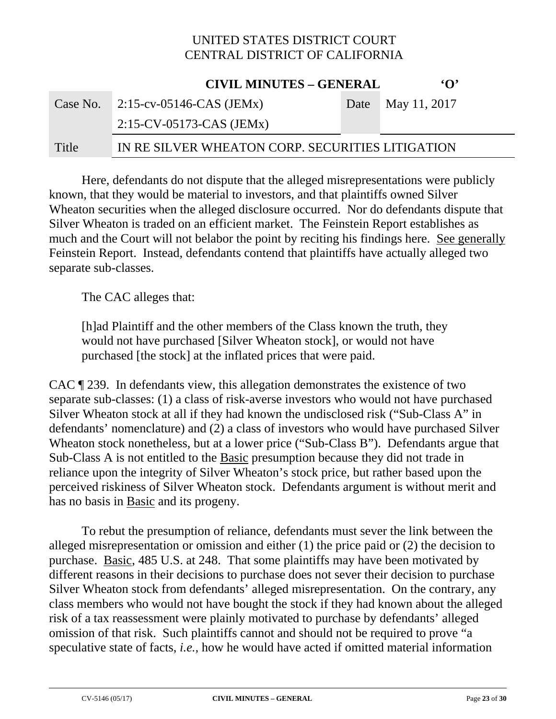**CIVIL MINUTES – GENERAL 'O'**

|       | CIVIL MINUTES – GENERAL                          | $\cdot$ $\cdot$   |
|-------|--------------------------------------------------|-------------------|
|       | Case No. $2:15$ -cv-05146-CAS (JEMx)             | Date May 11, 2017 |
|       | $2:15$ -CV-05173-CAS (JEMx)                      |                   |
| Title | IN RE SILVER WHEATON CORP. SECURITIES LITIGATION |                   |

Here, defendants do not dispute that the alleged misrepresentations were publicly known, that they would be material to investors, and that plaintiffs owned Silver Wheaton securities when the alleged disclosure occurred. Nor do defendants dispute that Silver Wheaton is traded on an efficient market. The Feinstein Report establishes as much and the Court will not belabor the point by reciting his findings here. See generally Feinstein Report. Instead, defendants contend that plaintiffs have actually alleged two separate sub-classes.

The CAC alleges that:

[h]ad Plaintiff and the other members of the Class known the truth, they would not have purchased [Silver Wheaton stock], or would not have purchased [the stock] at the inflated prices that were paid.

CAC ¶ 239. In defendants view, this allegation demonstrates the existence of two separate sub-classes: (1) a class of risk-averse investors who would not have purchased Silver Wheaton stock at all if they had known the undisclosed risk ("Sub-Class A" in defendants' nomenclature) and (2) a class of investors who would have purchased Silver Wheaton stock nonetheless, but at a lower price ("Sub-Class B"). Defendants argue that Sub-Class A is not entitled to the Basic presumption because they did not trade in reliance upon the integrity of Silver Wheaton's stock price, but rather based upon the perceived riskiness of Silver Wheaton stock. Defendants argument is without merit and has no basis in Basic and its progeny.

 To rebut the presumption of reliance, defendants must sever the link between the alleged misrepresentation or omission and either (1) the price paid or (2) the decision to purchase. Basic, 485 U.S. at 248. That some plaintiffs may have been motivated by different reasons in their decisions to purchase does not sever their decision to purchase Silver Wheaton stock from defendants' alleged misrepresentation. On the contrary, any class members who would not have bought the stock if they had known about the alleged risk of a tax reassessment were plainly motivated to purchase by defendants' alleged omission of that risk. Such plaintiffs cannot and should not be required to prove "a speculative state of facts, *i.e.,* how he would have acted if omitted material information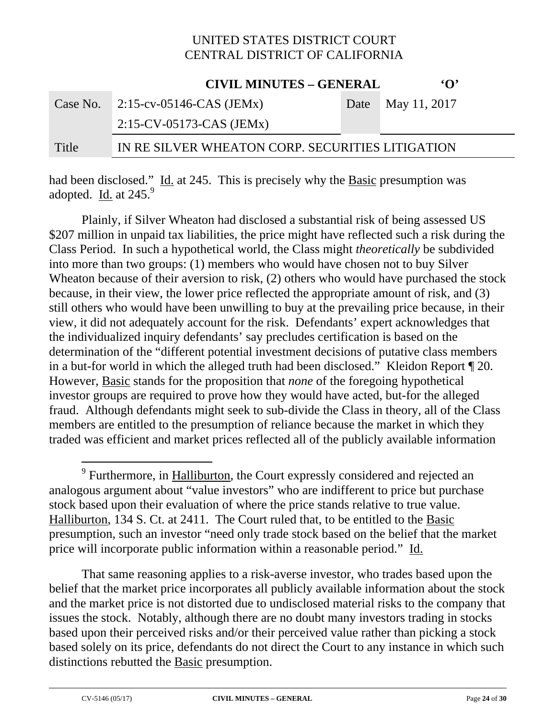**CIVIL MINUTES – GENERAL INC.** 

|       | CIVIL MINUTES – GENERAL                          | $\cdot$ $\cdot$   |
|-------|--------------------------------------------------|-------------------|
|       | Case No. $2:15$ -cv-05146-CAS (JEMx)             | Date May 11, 2017 |
|       | $2:15$ -CV-05173-CAS (JEMx)                      |                   |
| Title | IN RE SILVER WHEATON CORP. SECURITIES LITIGATION |                   |

had been disclosed." Id. at 245. This is precisely why the Basic presumption was adopted.  $\underline{\text{Id}}$  at 245. $9$ 

 Plainly, if Silver Wheaton had disclosed a substantial risk of being assessed US \$207 million in unpaid tax liabilities, the price might have reflected such a risk during the Class Period. In such a hypothetical world, the Class might *theoretically* be subdivided into more than two groups: (1) members who would have chosen not to buy Silver Wheaton because of their aversion to risk, (2) others who would have purchased the stock because, in their view, the lower price reflected the appropriate amount of risk, and (3) still others who would have been unwilling to buy at the prevailing price because, in their view, it did not adequately account for the risk. Defendants' expert acknowledges that the individualized inquiry defendants' say precludes certification is based on the determination of the "different potential investment decisions of putative class members in a but-for world in which the alleged truth had been disclosed." Kleidon Report ¶ 20. However, Basic stands for the proposition that *none* of the foregoing hypothetical investor groups are required to prove how they would have acted, but-for the alleged fraud. Although defendants might seek to sub-divide the Class in theory, all of the Class members are entitled to the presumption of reliance because the market in which they traded was efficient and market prices reflected all of the publicly available information

That same reasoning applies to a risk-averse investor, who trades based upon the belief that the market price incorporates all publicly available information about the stock and the market price is not distorted due to undisclosed material risks to the company that issues the stock. Notably, although there are no doubt many investors trading in stocks based upon their perceived risks and/or their perceived value rather than picking a stock based solely on its price, defendants do not direct the Court to any instance in which such distinctions rebutted the Basic presumption.

-

<sup>&</sup>lt;sup>9</sup> Furthermore, in **Halliburton**, the Court expressly considered and rejected an analogous argument about "value investors" who are indifferent to price but purchase stock based upon their evaluation of where the price stands relative to true value. Halliburton, 134 S. Ct. at 2411. The Court ruled that, to be entitled to the Basic presumption, such an investor "need only trade stock based on the belief that the market price will incorporate public information within a reasonable period." Id.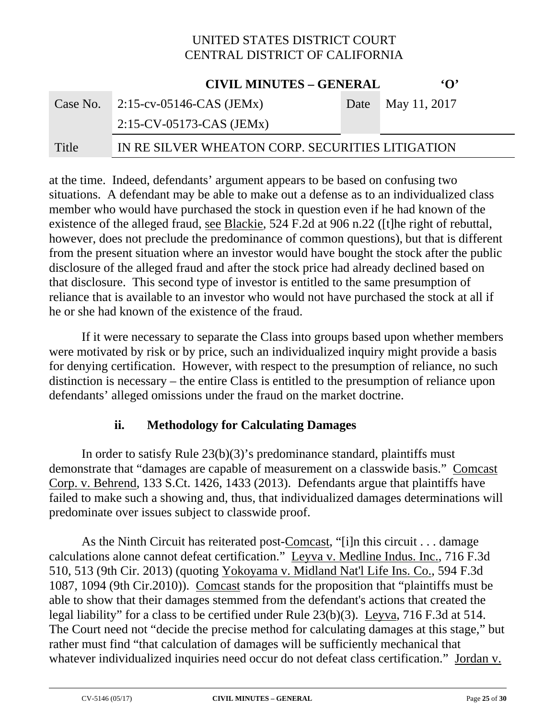|          | <b>CIVIL MINUTES - GENERAL</b>                   | $\Omega$          |
|----------|--------------------------------------------------|-------------------|
| Case No. | 2:15-cv-05146-CAS (JEMx)                         | Date May 11, 2017 |
|          | $2:15$ -CV-05173-CAS (JEMx)                      |                   |
| Title    | IN RE SILVER WHEATON CORP. SECURITIES LITIGATION |                   |

at the time. Indeed, defendants' argument appears to be based on confusing two situations. A defendant may be able to make out a defense as to an individualized class member who would have purchased the stock in question even if he had known of the existence of the alleged fraud, see Blackie, 524 F.2d at 906 n.22 ([t]he right of rebuttal, however, does not preclude the predominance of common questions), but that is different from the present situation where an investor would have bought the stock after the public disclosure of the alleged fraud and after the stock price had already declined based on that disclosure. This second type of investor is entitled to the same presumption of reliance that is available to an investor who would not have purchased the stock at all if he or she had known of the existence of the fraud.

If it were necessary to separate the Class into groups based upon whether members were motivated by risk or by price, such an individualized inquiry might provide a basis for denying certification. However, with respect to the presumption of reliance, no such distinction is necessary – the entire Class is entitled to the presumption of reliance upon defendants' alleged omissions under the fraud on the market doctrine.

#### **ii. Methodology for Calculating Damages**

In order to satisfy Rule 23(b)(3)'s predominance standard, plaintiffs must demonstrate that "damages are capable of measurement on a classwide basis." Comcast Corp. v. Behrend, 133 S.Ct. 1426, 1433 (2013). Defendants argue that plaintiffs have failed to make such a showing and, thus, that individualized damages determinations will predominate over issues subject to classwide proof.

As the Ninth Circuit has reiterated post-Comcast, "[i]n this circuit . . . damage calculations alone cannot defeat certification." Leyva v. Medline Indus. Inc., 716 F.3d 510, 513 (9th Cir. 2013) (quoting Yokoyama v. Midland Nat'l Life Ins. Co., 594 F.3d 1087, 1094 (9th Cir.2010)). Comcast stands for the proposition that "plaintiffs must be able to show that their damages stemmed from the defendant's actions that created the legal liability" for a class to be certified under Rule 23(b)(3). Leyva, 716 F.3d at 514. The Court need not "decide the precise method for calculating damages at this stage," but rather must find "that calculation of damages will be sufficiently mechanical that whatever individualized inquiries need occur do not defeat class certification." Jordan v.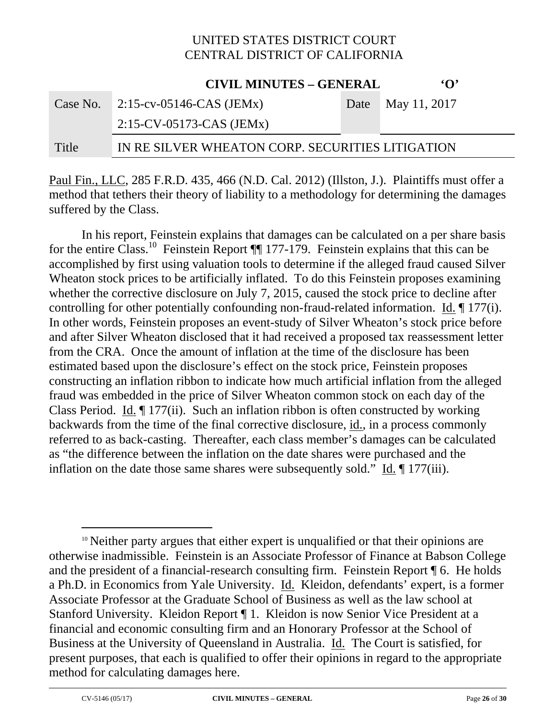|          | <b>CIVIL MINUTES - GENERAL</b>                   |  | $\Omega$          |
|----------|--------------------------------------------------|--|-------------------|
| Case No. | $2:15$ -cv-05146-CAS (JEMx)                      |  | Date May 11, 2017 |
|          | $2:15$ -CV-05173-CAS (JEMx)                      |  |                   |
| Title    | IN RE SILVER WHEATON CORP. SECURITIES LITIGATION |  |                   |

Paul Fin., LLC, 285 F.R.D. 435, 466 (N.D. Cal. 2012) (Illston, J.). Plaintiffs must offer a method that tethers their theory of liability to a methodology for determining the damages suffered by the Class.

In his report, Feinstein explains that damages can be calculated on a per share basis for the entire Class.<sup>10</sup> Feinstein Report ¶ 177-179. Feinstein explains that this can be accomplished by first using valuation tools to determine if the alleged fraud caused Silver Wheaton stock prices to be artificially inflated. To do this Feinstein proposes examining whether the corrective disclosure on July 7, 2015, caused the stock price to decline after controlling for other potentially confounding non-fraud-related information. Id. ¶ 177(i). In other words, Feinstein proposes an event-study of Silver Wheaton's stock price before and after Silver Wheaton disclosed that it had received a proposed tax reassessment letter from the CRA. Once the amount of inflation at the time of the disclosure has been estimated based upon the disclosure's effect on the stock price, Feinstein proposes constructing an inflation ribbon to indicate how much artificial inflation from the alleged fraud was embedded in the price of Silver Wheaton common stock on each day of the Class Period. Id. ¶ 177(ii). Such an inflation ribbon is often constructed by working backwards from the time of the final corrective disclosure, id., in a process commonly referred to as back-casting. Thereafter, each class member's damages can be calculated as "the difference between the inflation on the date shares were purchased and the inflation on the date those same shares were subsequently sold." Id. ¶ 177(iii).

<sup>&</sup>lt;sup>10</sup> Neither party argues that either expert is unqualified or that their opinions are otherwise inadmissible. Feinstein is an Associate Professor of Finance at Babson College and the president of a financial-research consulting firm. Feinstein Report ¶ 6. He holds a Ph.D. in Economics from Yale University. Id. Kleidon, defendants' expert, is a former Associate Professor at the Graduate School of Business as well as the law school at Stanford University. Kleidon Report ¶ 1. Kleidon is now Senior Vice President at a financial and economic consulting firm and an Honorary Professor at the School of Business at the University of Queensland in Australia. Id. The Court is satisfied, for present purposes, that each is qualified to offer their opinions in regard to the appropriate method for calculating damages here.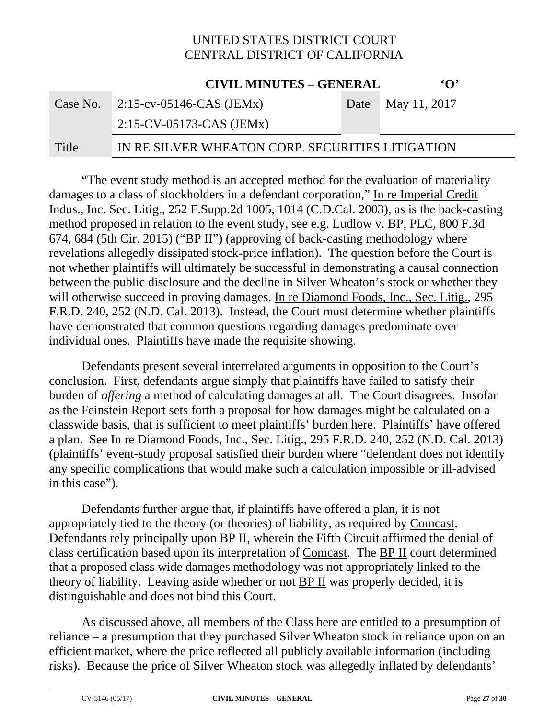|          | <b>CIVIL MINUTES – GENERAL</b>                   | $\Omega$          |
|----------|--------------------------------------------------|-------------------|
| Case No. | $2:15$ -cv-05146-CAS (JEMx)                      | Date May 11, 2017 |
|          | $2:15$ -CV-05173-CAS (JEMx)                      |                   |
| Title    | IN RE SILVER WHEATON CORP. SECURITIES LITIGATION |                   |

"The event study method is an accepted method for the evaluation of materiality damages to a class of stockholders in a defendant corporation," In re Imperial Credit Indus., Inc. Sec. Litig., 252 F.Supp.2d 1005, 1014 (C.D.Cal. 2003), as is the back-casting method proposed in relation to the event study, see e.g. Ludlow v. BP, PLC, 800 F.3d 674, 684 (5th Cir. 2015) ("BP II") (approving of back-casting methodology where revelations allegedly dissipated stock-price inflation). The question before the Court is not whether plaintiffs will ultimately be successful in demonstrating a causal connection between the public disclosure and the decline in Silver Wheaton's stock or whether they will otherwise succeed in proving damages. In re Diamond Foods, Inc., Sec. Litig., 295 F.R.D. 240, 252 (N.D. Cal. 2013). Instead, the Court must determine whether plaintiffs have demonstrated that common questions regarding damages predominate over individual ones. Plaintiffs have made the requisite showing.

Defendants present several interrelated arguments in opposition to the Court's conclusion. First, defendants argue simply that plaintiffs have failed to satisfy their burden of *offering* a method of calculating damages at all. The Court disagrees. Insofar as the Feinstein Report sets forth a proposal for how damages might be calculated on a classwide basis, that is sufficient to meet plaintiffs' burden here. Plaintiffs' have offered a plan. See In re Diamond Foods, Inc., Sec. Litig., 295 F.R.D. 240, 252 (N.D. Cal. 2013) (plaintiffs' event-study proposal satisfied their burden where "defendant does not identify any specific complications that would make such a calculation impossible or ill-advised in this case").

 Defendants further argue that, if plaintiffs have offered a plan, it is not appropriately tied to the theory (or theories) of liability, as required by Comcast. Defendants rely principally upon BP II, wherein the Fifth Circuit affirmed the denial of class certification based upon its interpretation of Comcast. The BP II court determined that a proposed class wide damages methodology was not appropriately linked to the theory of liability. Leaving aside whether or not  $\underline{BP II}$  was properly decided, it is distinguishable and does not bind this Court.

 As discussed above, all members of the Class here are entitled to a presumption of reliance – a presumption that they purchased Silver Wheaton stock in reliance upon on an efficient market, where the price reflected all publicly available information (including risks). Because the price of Silver Wheaton stock was allegedly inflated by defendants'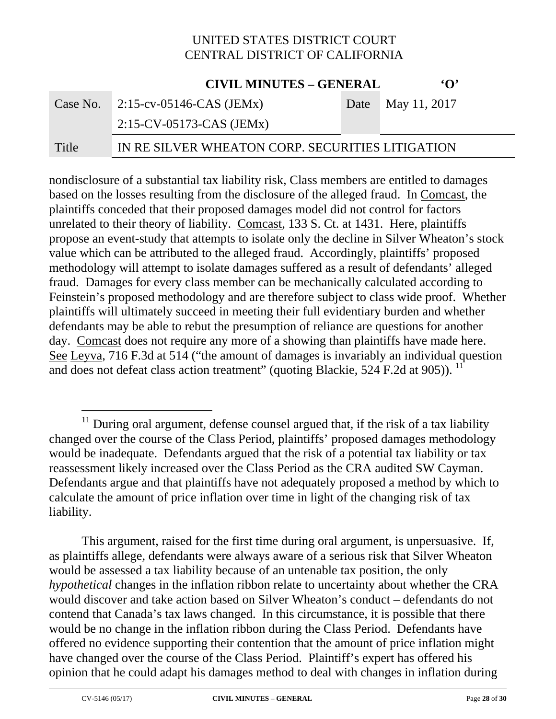**CIVIL MINUTES – GENERAL INC.** 

|       | CIVIL MINUTES – GENERAL                          | $\cdot$ $\cdot$   |
|-------|--------------------------------------------------|-------------------|
|       | Case No. $2:15$ -cv-05146-CAS (JEMx)             | Date May 11, 2017 |
|       | $2:15$ -CV-05173-CAS (JEMx)                      |                   |
| Title | IN RE SILVER WHEATON CORP. SECURITIES LITIGATION |                   |

nondisclosure of a substantial tax liability risk, Class members are entitled to damages based on the losses resulting from the disclosure of the alleged fraud. In Comcast, the plaintiffs conceded that their proposed damages model did not control for factors unrelated to their theory of liability. Comcast, 133 S. Ct. at 1431. Here, plaintiffs propose an event-study that attempts to isolate only the decline in Silver Wheaton's stock value which can be attributed to the alleged fraud. Accordingly, plaintiffs' proposed methodology will attempt to isolate damages suffered as a result of defendants' alleged fraud. Damages for every class member can be mechanically calculated according to Feinstein's proposed methodology and are therefore subject to class wide proof. Whether plaintiffs will ultimately succeed in meeting their full evidentiary burden and whether defendants may be able to rebut the presumption of reliance are questions for another day. Comcast does not require any more of a showing than plaintiffs have made here. See Leyva, 716 F.3d at 514 ("the amount of damages is invariably an individual question and does not defeat class action treatment" (quoting Blackie,  $524$  F.2d at 905)). <sup>11</sup>

This argument, raised for the first time during oral argument, is unpersuasive. If, as plaintiffs allege, defendants were always aware of a serious risk that Silver Wheaton would be assessed a tax liability because of an untenable tax position, the only *hypothetical* changes in the inflation ribbon relate to uncertainty about whether the CRA would discover and take action based on Silver Wheaton's conduct – defendants do not contend that Canada's tax laws changed. In this circumstance, it is possible that there would be no change in the inflation ribbon during the Class Period. Defendants have offered no evidence supporting their contention that the amount of price inflation might have changed over the course of the Class Period. Plaintiff's expert has offered his opinion that he could adapt his damages method to deal with changes in inflation during

 $11$  During oral argument, defense counsel argued that, if the risk of a tax liability changed over the course of the Class Period, plaintiffs' proposed damages methodology would be inadequate. Defendants argued that the risk of a potential tax liability or tax reassessment likely increased over the Class Period as the CRA audited SW Cayman. Defendants argue and that plaintiffs have not adequately proposed a method by which to calculate the amount of price inflation over time in light of the changing risk of tax liability.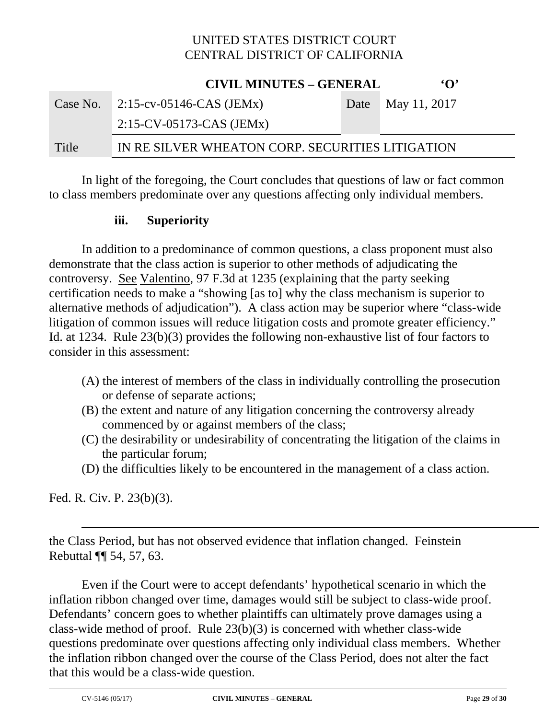|          | <b>CIVIL MINUTES – GENERAL</b>                   | $\Omega$          |
|----------|--------------------------------------------------|-------------------|
| Case No. | $\sim$ 2:15-cv-05146-CAS (JEMx)                  | Date May 11, 2017 |
|          | $2:15$ -CV-05173-CAS (JEMx)                      |                   |
| Title    | IN RE SILVER WHEATON CORP. SECURITIES LITIGATION |                   |

 In light of the foregoing, the Court concludes that questions of law or fact common to class members predominate over any questions affecting only individual members.

#### **iii. Superiority**

In addition to a predominance of common questions, a class proponent must also demonstrate that the class action is superior to other methods of adjudicating the controversy. See Valentino, 97 F.3d at 1235 (explaining that the party seeking certification needs to make a "showing [as to] why the class mechanism is superior to alternative methods of adjudication"). A class action may be superior where "class-wide litigation of common issues will reduce litigation costs and promote greater efficiency." Id. at 1234. Rule 23(b)(3) provides the following non-exhaustive list of four factors to consider in this assessment:

- (A) the interest of members of the class in individually controlling the prosecution or defense of separate actions;
- (B) the extent and nature of any litigation concerning the controversy already commenced by or against members of the class;
- (C) the desirability or undesirability of concentrating the litigation of the claims in the particular forum;
- (D) the difficulties likely to be encountered in the management of a class action.

Fed. R. Civ. P. 23(b)(3).

 $\overline{a}$ 

the Class Period, but has not observed evidence that inflation changed. Feinstein Rebuttal ¶¶ 54, 57, 63.

Even if the Court were to accept defendants' hypothetical scenario in which the inflation ribbon changed over time, damages would still be subject to class-wide proof. Defendants' concern goes to whether plaintiffs can ultimately prove damages using a class-wide method of proof. Rule 23(b)(3) is concerned with whether class-wide questions predominate over questions affecting only individual class members. Whether the inflation ribbon changed over the course of the Class Period, does not alter the fact that this would be a class-wide question.